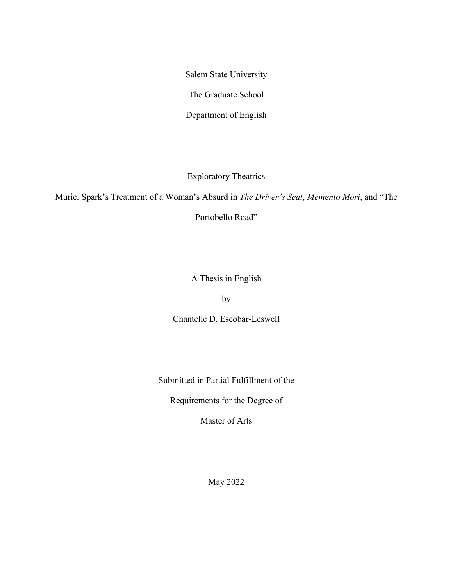Salem State University

The Graduate School

Department of English

Exploratory Theatrics

Muriel Spark's Treatment of a Woman's Absurd in *The Driver's Seat*, *Memento Mori*, and "The

Portobello Road"

A Thesis in English

by

Chantelle D. Escobar-Leswell

Submitted in Partial Fulfillment of the

Requirements for the Degree of

Master of Arts

May 2022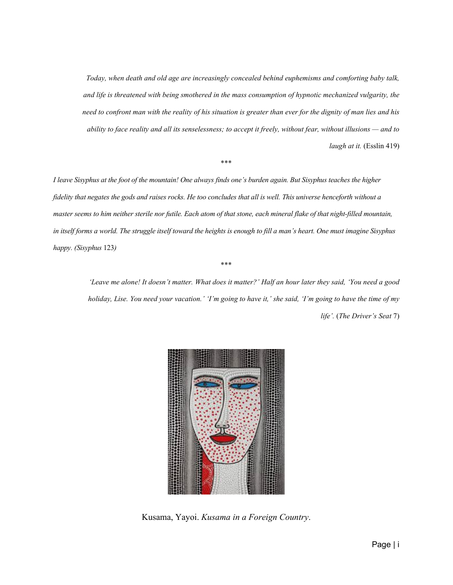*Today, when death and old age are increasingly concealed behind euphemisms and comforting baby talk, and life is threatened with being smothered in the mass consumption of hypnotic mechanized vulgarity, the need to confront man with the reality of his situation is greater than ever for the dignity of man lies and his ability to face reality and all its senselessness; to accept it freely, without fear, without illusions — and to laugh at it.* (Esslin 419)

#### \*\*\*

*I leave Sisyphus at the foot of the mountain! One always finds one's burden again. But Sisyphus teaches the higher fidelity that negates the gods and raises rocks. He too concludes that all is well. This universe henceforth without a master seems to him neither sterile nor futile. Each atom of that stone, each mineral flake of that night-filled mountain, in itself forms a world. The struggle itself toward the heights is enough to fill a man's heart. One must imagine Sisyphus happy. (Sisyphus* 123*)*

#### \*\*\*

*'Leave me alone! It doesn't matter. What does it matter?' Half an hour later they said, 'You need a good holiday, Lise. You need your vacation.' 'I'm going to have it,' she said, 'I'm going to have the time of my life'.* (*The Driver's Seat* 7)



Kusama, Yayoi. *Kusama in a Foreign Country*.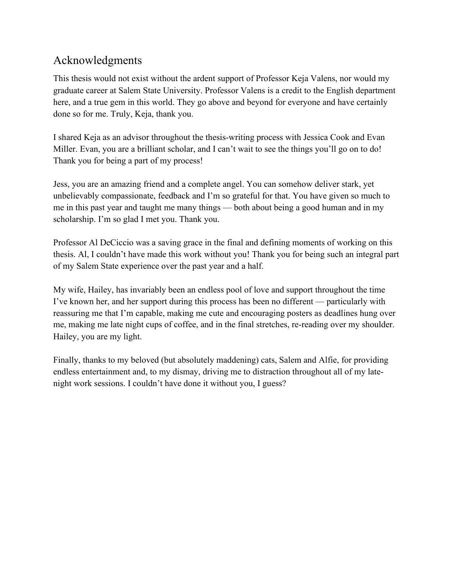## <span id="page-2-0"></span>Acknowledgments

This thesis would not exist without the ardent support of Professor Keja Valens, nor would my graduate career at Salem State University. Professor Valens is a credit to the English department here, and a true gem in this world. They go above and beyond for everyone and have certainly done so for me. Truly, Keja, thank you.

I shared Keja as an advisor throughout the thesis-writing process with Jessica Cook and Evan Miller. Evan, you are a brilliant scholar, and I can't wait to see the things you'll go on to do! Thank you for being a part of my process!

Jess, you are an amazing friend and a complete angel. You can somehow deliver stark, yet unbelievably compassionate, feedback and I'm so grateful for that. You have given so much to me in this past year and taught me many things — both about being a good human and in my scholarship. I'm so glad I met you. Thank you.

Professor Al DeCiccio was a saving grace in the final and defining moments of working on this thesis. Al, I couldn't have made this work without you! Thank you for being such an integral part of my Salem State experience over the past year and a half.

My wife, Hailey, has invariably been an endless pool of love and support throughout the time I've known her, and her support during this process has been no different — particularly with reassuring me that I'm capable, making me cute and encouraging posters as deadlines hung over me, making me late night cups of coffee, and in the final stretches, re-reading over my shoulder. Hailey, you are my light.

Finally, thanks to my beloved (but absolutely maddening) cats, Salem and Alfie, for providing endless entertainment and, to my dismay, driving me to distraction throughout all of my latenight work sessions. I couldn't have done it without you, I guess?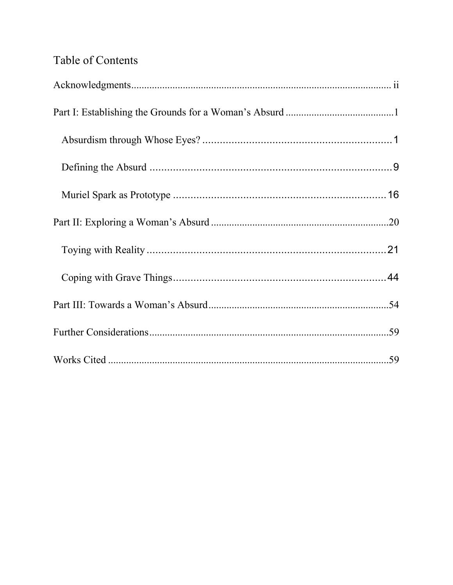# Table of Contents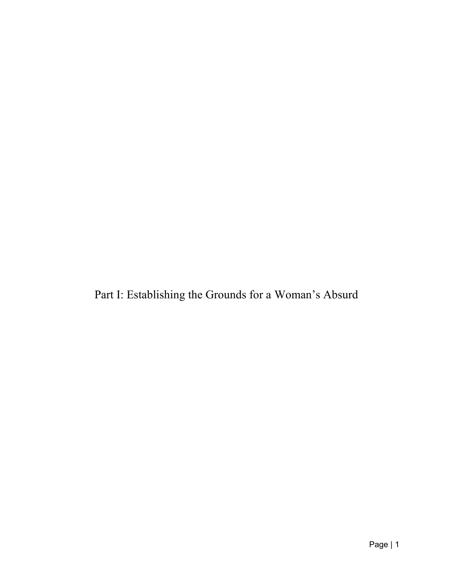<span id="page-4-0"></span>Part I: Establishing the Grounds for a Woman's Absurd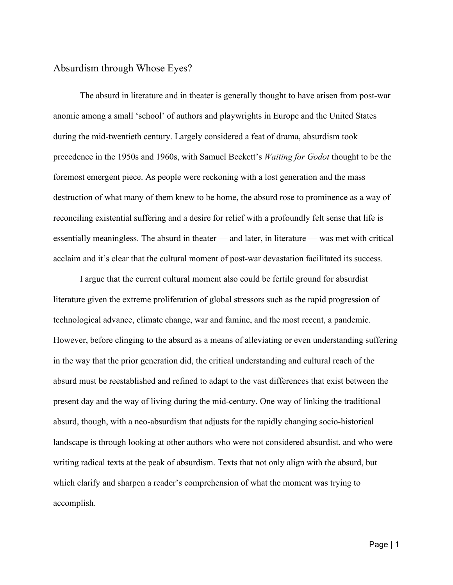### <span id="page-5-0"></span>Absurdism through Whose Eyes?

The absurd in literature and in theater is generally thought to have arisen from post-war anomie among a small 'school' of authors and playwrights in Europe and the United States during the mid-twentieth century. Largely considered a feat of drama, absurdism took precedence in the 1950s and 1960s, with Samuel Beckett's *Waiting for Godot* thought to be the foremost emergent piece. As people were reckoning with a lost generation and the mass destruction of what many of them knew to be home, the absurd rose to prominence as a way of reconciling existential suffering and a desire for relief with a profoundly felt sense that life is essentially meaningless. The absurd in theater — and later, in literature — was met with critical acclaim and it's clear that the cultural moment of post-war devastation facilitated its success.

I argue that the current cultural moment also could be fertile ground for absurdist literature given the extreme proliferation of global stressors such as the rapid progression of technological advance, climate change, war and famine, and the most recent, a pandemic. However, before clinging to the absurd as a means of alleviating or even understanding suffering in the way that the prior generation did, the critical understanding and cultural reach of the absurd must be reestablished and refined to adapt to the vast differences that exist between the present day and the way of living during the mid-century. One way of linking the traditional absurd, though, with a neo-absurdism that adjusts for the rapidly changing socio-historical landscape is through looking at other authors who were not considered absurdist, and who were writing radical texts at the peak of absurdism. Texts that not only align with the absurd, but which clarify and sharpen a reader's comprehension of what the moment was trying to accomplish.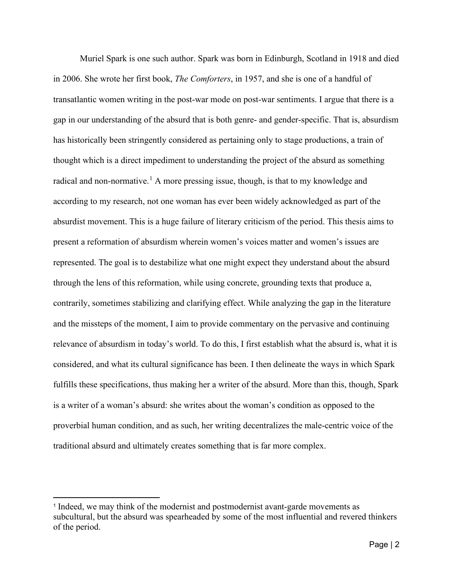Muriel Spark is one such author. Spark was born in Edinburgh, Scotland in 1918 and died in 2006. She wrote her first book, *The Comforters*, in 1957, and she is one of a handful of transatlantic women writing in the post-war mode on post-war sentiments. I argue that there is a gap in our understanding of the absurd that is both genre- and gender-specific. That is, absurdism has historically been stringently considered as pertaining only to stage productions, a train of thought which is a direct impediment to understanding the project of the absurd as something radical and non-normative.<sup>[1](#page-6-0)</sup> A more pressing issue, though, is that to my knowledge and according to my research, not one woman has ever been widely acknowledged as part of the absurdist movement. This is a huge failure of literary criticism of the period. This thesis aims to present a reformation of absurdism wherein women's voices matter and women's issues are represented. The goal is to destabilize what one might expect they understand about the absurd through the lens of this reformation, while using concrete, grounding texts that produce a, contrarily, sometimes stabilizing and clarifying effect. While analyzing the gap in the literature and the missteps of the moment, I aim to provide commentary on the pervasive and continuing relevance of absurdism in today's world. To do this, I first establish what the absurd is, what it is considered, and what its cultural significance has been. I then delineate the ways in which Spark fulfills these specifications, thus making her a writer of the absurd. More than this, though, Spark is a writer of a woman's absurd: she writes about the woman's condition as opposed to the proverbial human condition, and as such, her writing decentralizes the male-centric voice of the traditional absurd and ultimately creates something that is far more complex.

<span id="page-6-0"></span><sup>1</sup> Indeed, we may think of the modernist and postmodernist avant-garde movements as subcultural, but the absurd was spearheaded by some of the most influential and revered thinkers of the period.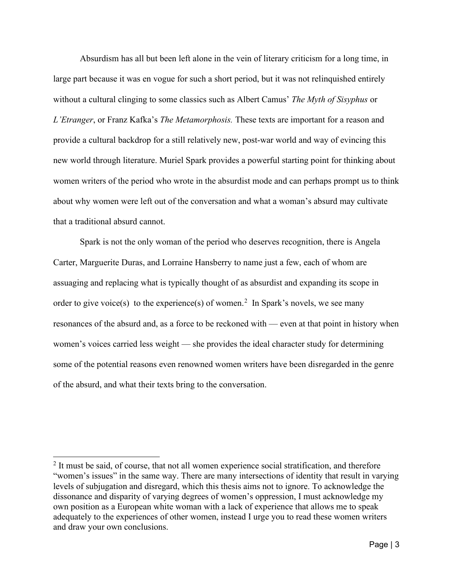Absurdism has all but been left alone in the vein of literary criticism for a long time, in large part because it was en vogue for such a short period, but it was not relinquished entirely without a cultural clinging to some classics such as Albert Camus' *The Myth of Sisyphus* or *L'Etranger*, or Franz Kafka's *The Metamorphosis.* These texts are important for a reason and provide a cultural backdrop for a still relatively new, post-war world and way of evincing this new world through literature. Muriel Spark provides a powerful starting point for thinking about women writers of the period who wrote in the absurdist mode and can perhaps prompt us to think about why women were left out of the conversation and what a woman's absurd may cultivate that a traditional absurd cannot.

Spark is not the only woman of the period who deserves recognition, there is Angela Carter, Marguerite Duras, and Lorraine Hansberry to name just a few, each of whom are assuaging and replacing what is typically thought of as absurdist and expanding its scope in order to give voice(s) to the experience(s) of women.<sup>[2](#page-7-0)</sup> In Spark's novels, we see many resonances of the absurd and, as a force to be reckoned with — even at that point in history when women's voices carried less weight — she provides the ideal character study for determining some of the potential reasons even renowned women writers have been disregarded in the genre of the absurd, and what their texts bring to the conversation.

<span id="page-7-0"></span><sup>&</sup>lt;sup>2</sup> It must be said, of course, that not all women experience social stratification, and therefore "women's issues" in the same way. There are many intersections of identity that result in varying levels of subjugation and disregard, which this thesis aims not to ignore. To acknowledge the dissonance and disparity of varying degrees of women's oppression, I must acknowledge my own position as a European white woman with a lack of experience that allows me to speak adequately to the experiences of other women, instead I urge you to read these women writers and draw your own conclusions.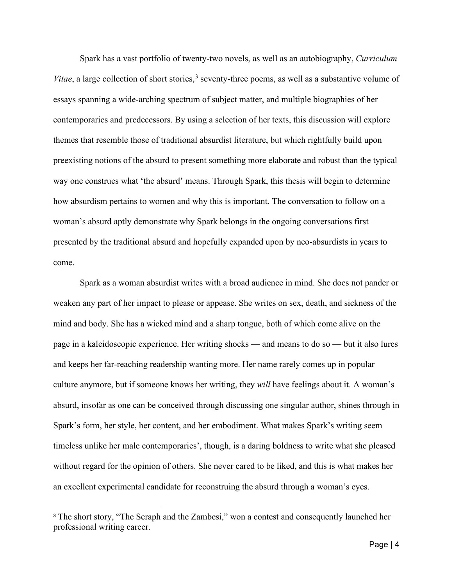Spark has a vast portfolio of twenty-two novels, as well as an autobiography, *Curriculum*  Vitae, a large collection of short stories,<sup>[3](#page-8-0)</sup> seventy-three poems, as well as a substantive volume of essays spanning a wide-arching spectrum of subject matter, and multiple biographies of her contemporaries and predecessors. By using a selection of her texts, this discussion will explore themes that resemble those of traditional absurdist literature, but which rightfully build upon preexisting notions of the absurd to present something more elaborate and robust than the typical way one construes what 'the absurd' means. Through Spark, this thesis will begin to determine how absurdism pertains to women and why this is important. The conversation to follow on a woman's absurd aptly demonstrate why Spark belongs in the ongoing conversations first presented by the traditional absurd and hopefully expanded upon by neo-absurdists in years to come.

Spark as a woman absurdist writes with a broad audience in mind. She does not pander or weaken any part of her impact to please or appease. She writes on sex, death, and sickness of the mind and body. She has a wicked mind and a sharp tongue, both of which come alive on the page in a kaleidoscopic experience. Her writing shocks — and means to do so — but it also lures and keeps her far-reaching readership wanting more. Her name rarely comes up in popular culture anymore, but if someone knows her writing, they *will* have feelings about it. A woman's absurd, insofar as one can be conceived through discussing one singular author, shines through in Spark's form, her style, her content, and her embodiment. What makes Spark's writing seem timeless unlike her male contemporaries', though, is a daring boldness to write what she pleased without regard for the opinion of others. She never cared to be liked, and this is what makes her an excellent experimental candidate for reconstruing the absurd through a woman's eyes.

<span id="page-8-0"></span><sup>&</sup>lt;sup>3</sup> The short story, "The Seraph and the Zambesi," won a contest and consequently launched her professional writing career.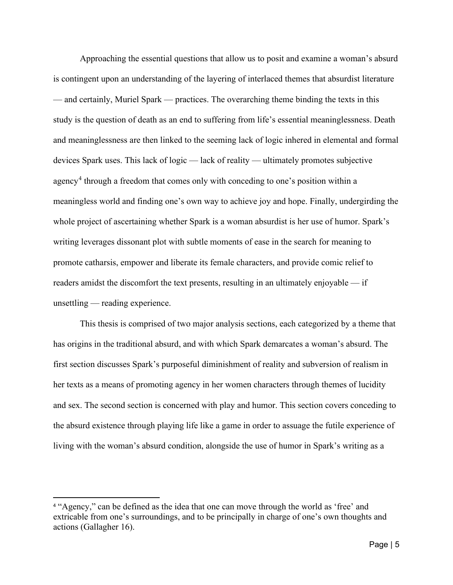Approaching the essential questions that allow us to posit and examine a woman's absurd is contingent upon an understanding of the layering of interlaced themes that absurdist literature — and certainly, Muriel Spark — practices. The overarching theme binding the texts in this study is the question of death as an end to suffering from life's essential meaninglessness. Death and meaninglessness are then linked to the seeming lack of logic inhered in elemental and formal devices Spark uses. This lack of logic — lack of reality — ultimately promotes subjective agency<sup>[4](#page-9-0)</sup> through a freedom that comes only with conceding to one's position within a meaningless world and finding one's own way to achieve joy and hope. Finally, undergirding the whole project of ascertaining whether Spark is a woman absurdist is her use of humor. Spark's writing leverages dissonant plot with subtle moments of ease in the search for meaning to promote catharsis, empower and liberate its female characters, and provide comic relief to readers amidst the discomfort the text presents, resulting in an ultimately enjoyable — if unsettling — reading experience.

This thesis is comprised of two major analysis sections, each categorized by a theme that has origins in the traditional absurd, and with which Spark demarcates a woman's absurd. The first section discusses Spark's purposeful diminishment of reality and subversion of realism in her texts as a means of promoting agency in her women characters through themes of lucidity and sex. The second section is concerned with play and humor. This section covers conceding to the absurd existence through playing life like a game in order to assuage the futile experience of living with the woman's absurd condition, alongside the use of humor in Spark's writing as a

<span id="page-9-0"></span><sup>4</sup> "Agency," can be defined as the idea that one can move through the world as 'free' and extricable from one's surroundings, and to be principally in charge of one's own thoughts and actions (Gallagher 16).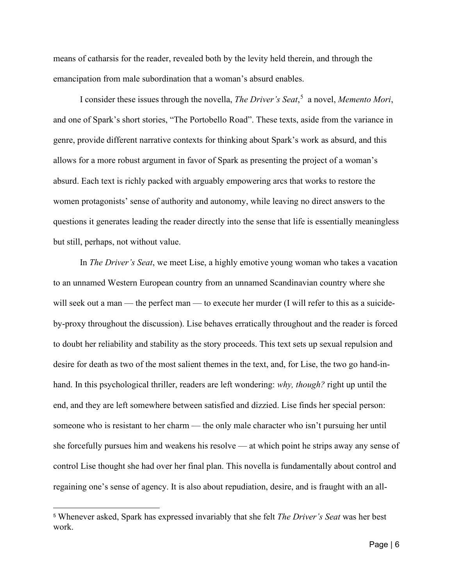means of catharsis for the reader, revealed both by the levity held therein, and through the emancipation from male subordination that a woman's absurd enables.

I consider these issues through the novella, *The Driver's Seat*, [5](#page-10-0) a novel, *Memento Mori*, and one of Spark's short stories, "The Portobello Road". These texts, aside from the variance in genre, provide different narrative contexts for thinking about Spark's work as absurd, and this allows for a more robust argument in favor of Spark as presenting the project of a woman's absurd. Each text is richly packed with arguably empowering arcs that works to restore the women protagonists' sense of authority and autonomy, while leaving no direct answers to the questions it generates leading the reader directly into the sense that life is essentially meaningless but still, perhaps, not without value.

In *The Driver's Seat*, we meet Lise, a highly emotive young woman who takes a vacation to an unnamed Western European country from an unnamed Scandinavian country where she will seek out a man — the perfect man — to execute her murder (I will refer to this as a suicideby-proxy throughout the discussion). Lise behaves erratically throughout and the reader is forced to doubt her reliability and stability as the story proceeds. This text sets up sexual repulsion and desire for death as two of the most salient themes in the text, and, for Lise, the two go hand-inhand. In this psychological thriller, readers are left wondering: *why, though?* right up until the end, and they are left somewhere between satisfied and dizzied. Lise finds her special person: someone who is resistant to her charm — the only male character who isn't pursuing her until she forcefully pursues him and weakens his resolve — at which point he strips away any sense of control Lise thought she had over her final plan. This novella is fundamentally about control and regaining one's sense of agency. It is also about repudiation, desire, and is fraught with an all-

<span id="page-10-0"></span><sup>5</sup> Whenever asked, Spark has expressed invariably that she felt *The Driver's Seat* was her best work.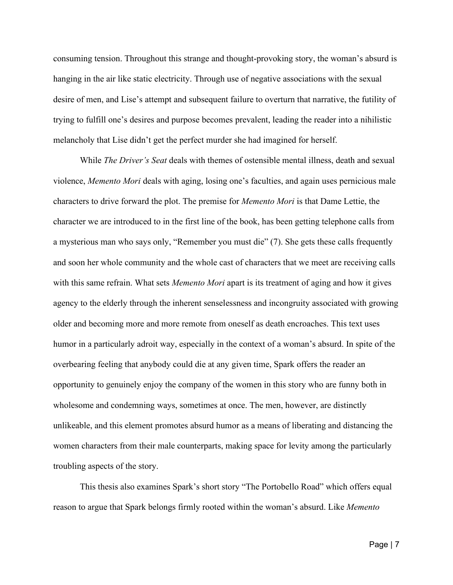consuming tension. Throughout this strange and thought-provoking story, the woman's absurd is hanging in the air like static electricity. Through use of negative associations with the sexual desire of men, and Lise's attempt and subsequent failure to overturn that narrative, the futility of trying to fulfill one's desires and purpose becomes prevalent, leading the reader into a nihilistic melancholy that Lise didn't get the perfect murder she had imagined for herself.

While *The Driver's Seat* deals with themes of ostensible mental illness, death and sexual violence, *Memento Mori* deals with aging, losing one's faculties, and again uses pernicious male characters to drive forward the plot. The premise for *Memento Mori* is that Dame Lettie, the character we are introduced to in the first line of the book, has been getting telephone calls from a mysterious man who says only, "Remember you must die" (7). She gets these calls frequently and soon her whole community and the whole cast of characters that we meet are receiving calls with this same refrain. What sets *Memento Mori* apart is its treatment of aging and how it gives agency to the elderly through the inherent senselessness and incongruity associated with growing older and becoming more and more remote from oneself as death encroaches. This text uses humor in a particularly adroit way, especially in the context of a woman's absurd. In spite of the overbearing feeling that anybody could die at any given time, Spark offers the reader an opportunity to genuinely enjoy the company of the women in this story who are funny both in wholesome and condemning ways, sometimes at once. The men, however, are distinctly unlikeable, and this element promotes absurd humor as a means of liberating and distancing the women characters from their male counterparts, making space for levity among the particularly troubling aspects of the story.

This thesis also examines Spark's short story "The Portobello Road" which offers equal reason to argue that Spark belongs firmly rooted within the woman's absurd. Like *Memento*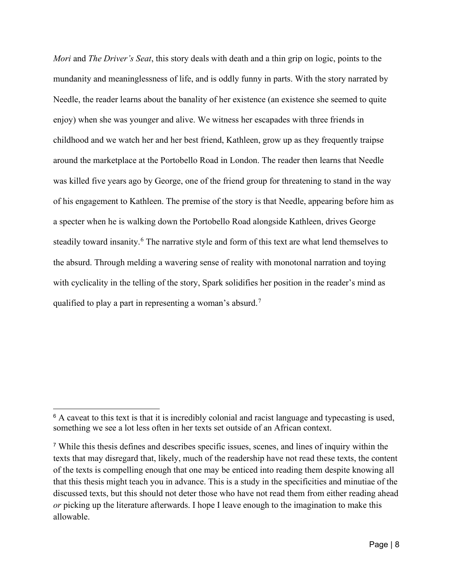*Mori* and *The Driver's Seat*, this story deals with death and a thin grip on logic, points to the mundanity and meaninglessness of life, and is oddly funny in parts. With the story narrated by Needle, the reader learns about the banality of her existence (an existence she seemed to quite enjoy) when she was younger and alive. We witness her escapades with three friends in childhood and we watch her and her best friend, Kathleen, grow up as they frequently traipse around the marketplace at the Portobello Road in London. The reader then learns that Needle was killed five years ago by George, one of the friend group for threatening to stand in the way of his engagement to Kathleen. The premise of the story is that Needle, appearing before him as a specter when he is walking down the Portobello Road alongside Kathleen, drives George steadily toward insanity.<sup>[6](#page-12-0)</sup> The narrative style and form of this text are what lend themselves to the absurd. Through melding a wavering sense of reality with monotonal narration and toying with cyclicality in the telling of the story, Spark solidifies her position in the reader's mind as qualified to play a part in representing a woman's absurd.<sup>[7](#page-12-1)</sup>

<span id="page-12-0"></span> $6$  A caveat to this text is that it is incredibly colonial and racist language and typecasting is used, something we see a lot less often in her texts set outside of an African context.

<span id="page-12-1"></span><sup>7</sup> While this thesis defines and describes specific issues, scenes, and lines of inquiry within the texts that may disregard that, likely, much of the readership have not read these texts, the content of the texts is compelling enough that one may be enticed into reading them despite knowing all that this thesis might teach you in advance. This is a study in the specificities and minutiae of the discussed texts, but this should not deter those who have not read them from either reading ahead *or* picking up the literature afterwards. I hope I leave enough to the imagination to make this allowable.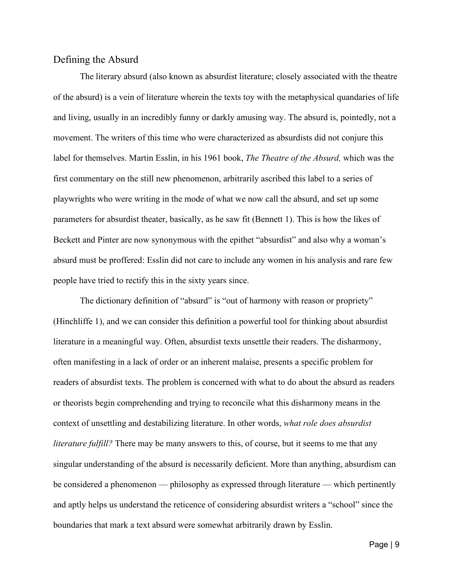### <span id="page-13-0"></span>Defining the Absurd

The literary absurd (also known as absurdist literature; closely associated with the theatre of the absurd) is a vein of literature wherein the texts toy with the metaphysical quandaries of life and living, usually in an incredibly funny or darkly amusing way. The absurd is, pointedly, not a movement. The writers of this time who were characterized as absurdists did not conjure this label for themselves. Martin Esslin, in his 1961 book, *The Theatre of the Absurd,* which was the first commentary on the still new phenomenon, arbitrarily ascribed this label to a series of playwrights who were writing in the mode of what we now call the absurd, and set up some parameters for absurdist theater, basically, as he saw fit (Bennett 1). This is how the likes of Beckett and Pinter are now synonymous with the epithet "absurdist" and also why a woman's absurd must be proffered: Esslin did not care to include any women in his analysis and rare few people have tried to rectify this in the sixty years since.

The dictionary definition of "absurd" is "out of harmony with reason or propriety" (Hinchliffe 1), and we can consider this definition a powerful tool for thinking about absurdist literature in a meaningful way. Often, absurdist texts unsettle their readers. The disharmony, often manifesting in a lack of order or an inherent malaise, presents a specific problem for readers of absurdist texts. The problem is concerned with what to do about the absurd as readers or theorists begin comprehending and trying to reconcile what this disharmony means in the context of unsettling and destabilizing literature. In other words, *what role does absurdist literature fulfill?* There may be many answers to this, of course, but it seems to me that any singular understanding of the absurd is necessarily deficient. More than anything, absurdism can be considered a phenomenon — philosophy as expressed through literature — which pertinently and aptly helps us understand the reticence of considering absurdist writers a "school" since the boundaries that mark a text absurd were somewhat arbitrarily drawn by Esslin.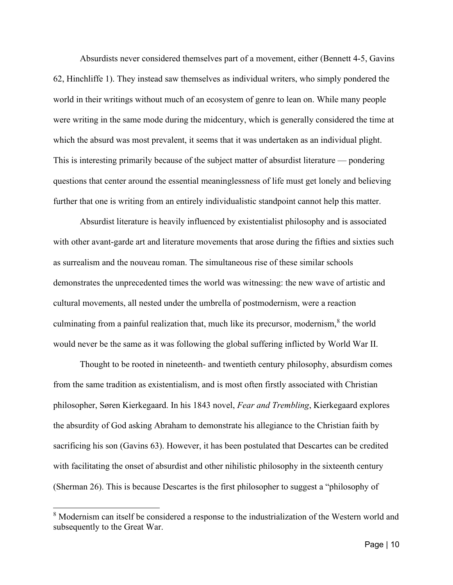Absurdists never considered themselves part of a movement, either (Bennett 4-5, Gavins 62, Hinchliffe 1). They instead saw themselves as individual writers, who simply pondered the world in their writings without much of an ecosystem of genre to lean on. While many people were writing in the same mode during the midcentury, which is generally considered the time at which the absurd was most prevalent, it seems that it was undertaken as an individual plight. This is interesting primarily because of the subject matter of absurdist literature — pondering questions that center around the essential meaninglessness of life must get lonely and believing further that one is writing from an entirely individualistic standpoint cannot help this matter.

Absurdist literature is heavily influenced by existentialist philosophy and is associated with other avant-garde art and literature movements that arose during the fifties and sixties such as surrealism and the nouveau roman. The simultaneous rise of these similar schools demonstrates the unprecedented times the world was witnessing: the new wave of artistic and cultural movements, all nested under the umbrella of postmodernism, were a reaction culminating from a painful realization that, much like its precursor, modernism,<sup>[8](#page-14-0)</sup> the world would never be the same as it was following the global suffering inflicted by World War II.

Thought to be rooted in nineteenth- and twentieth century philosophy, absurdism comes from the same tradition as existentialism, and is most often firstly associated with Christian philosopher, Søren Kierkegaard. In his 1843 novel, *Fear and Trembling*, Kierkegaard explores the absurdity of God asking Abraham to demonstrate his allegiance to the Christian faith by sacrificing his son (Gavins 63). However, it has been postulated that Descartes can be credited with facilitating the onset of absurdist and other nihilistic philosophy in the sixteenth century (Sherman 26). This is because Descartes is the first philosopher to suggest a "philosophy of

<span id="page-14-0"></span><sup>&</sup>lt;sup>8</sup> Modernism can itself be considered a response to the industrialization of the Western world and subsequently to the Great War.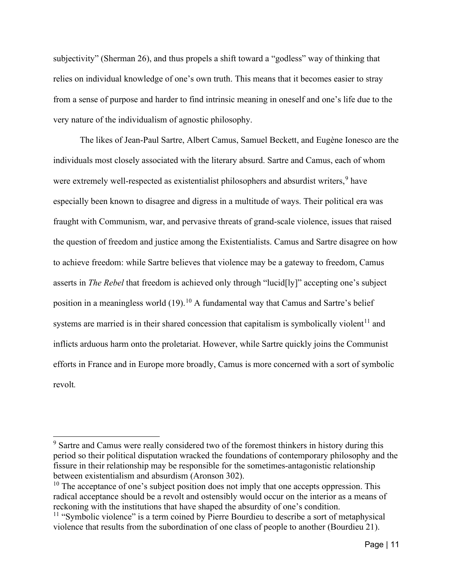subjectivity" (Sherman 26), and thus propels a shift toward a "godless" way of thinking that relies on individual knowledge of one's own truth. This means that it becomes easier to stray from a sense of purpose and harder to find intrinsic meaning in oneself and one's life due to the very nature of the individualism of agnostic philosophy.

The likes of Jean-Paul Sartre, Albert Camus, Samuel Beckett, and Eugène Ionesco are the individuals most closely associated with the literary absurd. Sartre and Camus, each of whom were extremely well-respected as existentialist philosophers and absurdist writers,<sup>[9](#page-15-0)</sup> have especially been known to disagree and digress in a multitude of ways. Their political era was fraught with Communism, war, and pervasive threats of grand-scale violence, issues that raised the question of freedom and justice among the Existentialists. Camus and Sartre disagree on how to achieve freedom: while Sartre believes that violence may be a gateway to freedom, Camus asserts in *The Rebel* that freedom is achieved only through "lucid[ly]" accepting one's subject position in a meaningless world  $(19)$ .<sup>[10](#page-15-1)</sup> A fundamental way that Camus and Sartre's belief systems are married is in their shared concession that capitalism is symbolically violent<sup>[11](#page-15-2)</sup> and inflicts arduous harm onto the proletariat. However, while Sartre quickly joins the Communist efforts in France and in Europe more broadly, Camus is more concerned with a sort of symbolic revolt*.* 

<span id="page-15-0"></span> $9$  Sartre and Camus were really considered two of the foremost thinkers in history during this period so their political disputation wracked the foundations of contemporary philosophy and the fissure in their relationship may be responsible for the sometimes-antagonistic relationship between existentialism and absurdism (Aronson 302).

<span id="page-15-1"></span> $10$  The acceptance of one's subject position does not imply that one accepts oppression. This radical acceptance should be a revolt and ostensibly would occur on the interior as a means of reckoning with the institutions that have shaped the absurdity of one's condition.

<span id="page-15-2"></span><sup>&</sup>lt;sup>11</sup> "Symbolic violence" is a term coined by Pierre Bourdieu to describe a sort of metaphysical violence that results from the subordination of one class of people to another (Bourdieu 21).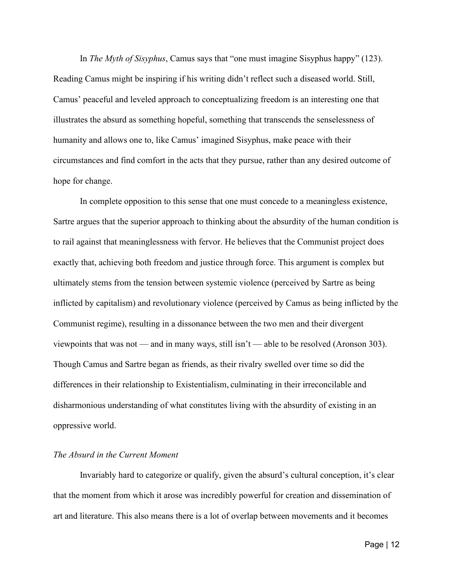In *The Myth of Sisyphus*, Camus says that "one must imagine Sisyphus happy" (123). Reading Camus might be inspiring if his writing didn't reflect such a diseased world. Still, Camus' peaceful and leveled approach to conceptualizing freedom is an interesting one that illustrates the absurd as something hopeful, something that transcends the senselessness of humanity and allows one to, like Camus' imagined Sisyphus, make peace with their circumstances and find comfort in the acts that they pursue, rather than any desired outcome of hope for change.

In complete opposition to this sense that one must concede to a meaningless existence, Sartre argues that the superior approach to thinking about the absurdity of the human condition is to rail against that meaninglessness with fervor. He believes that the Communist project does exactly that, achieving both freedom and justice through force. This argument is complex but ultimately stems from the tension between systemic violence (perceived by Sartre as being inflicted by capitalism) and revolutionary violence (perceived by Camus as being inflicted by the Communist regime), resulting in a dissonance between the two men and their divergent viewpoints that was not — and in many ways, still isn't — able to be resolved (Aronson 303). Though Camus and Sartre began as friends, as their rivalry swelled over time so did the differences in their relationship to Existentialism, culminating in their irreconcilable and disharmonious understanding of what constitutes living with the absurdity of existing in an oppressive world.

### *The Absurd in the Current Moment*

Invariably hard to categorize or qualify, given the absurd's cultural conception, it's clear that the moment from which it arose was incredibly powerful for creation and dissemination of art and literature. This also means there is a lot of overlap between movements and it becomes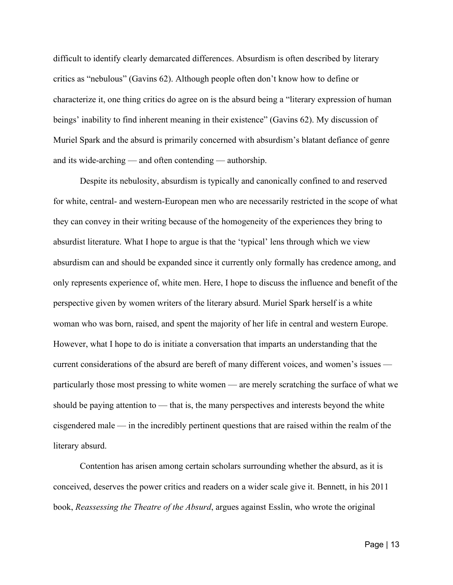difficult to identify clearly demarcated differences. Absurdism is often described by literary critics as "nebulous" (Gavins 62). Although people often don't know how to define or characterize it, one thing critics do agree on is the absurd being a "literary expression of human beings' inability to find inherent meaning in their existence" (Gavins 62). My discussion of Muriel Spark and the absurd is primarily concerned with absurdism's blatant defiance of genre and its wide-arching — and often contending — authorship.

Despite its nebulosity, absurdism is typically and canonically confined to and reserved for white, central- and western-European men who are necessarily restricted in the scope of what they can convey in their writing because of the homogeneity of the experiences they bring to absurdist literature. What I hope to argue is that the 'typical' lens through which we view absurdism can and should be expanded since it currently only formally has credence among, and only represents experience of, white men. Here, I hope to discuss the influence and benefit of the perspective given by women writers of the literary absurd. Muriel Spark herself is a white woman who was born, raised, and spent the majority of her life in central and western Europe. However, what I hope to do is initiate a conversation that imparts an understanding that the current considerations of the absurd are bereft of many different voices, and women's issues particularly those most pressing to white women — are merely scratching the surface of what we should be paying attention to — that is, the many perspectives and interests beyond the white cisgendered male — in the incredibly pertinent questions that are raised within the realm of the literary absurd.

Contention has arisen among certain scholars surrounding whether the absurd, as it is conceived, deserves the power critics and readers on a wider scale give it. Bennett, in his 2011 book, *Reassessing the Theatre of the Absurd*, argues against Esslin, who wrote the original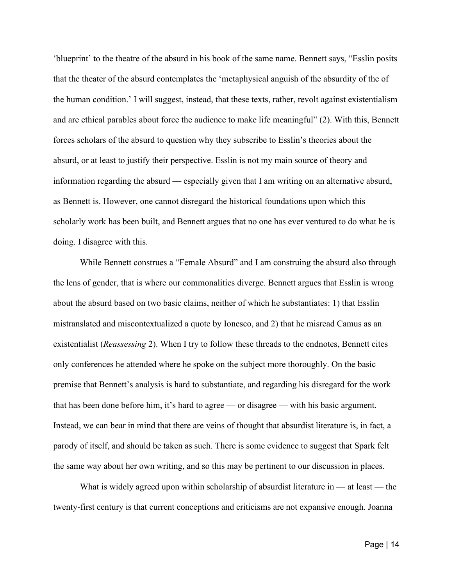'blueprint' to the theatre of the absurd in his book of the same name. Bennett says, "Esslin posits that the theater of the absurd contemplates the 'metaphysical anguish of the absurdity of the of the human condition.' I will suggest, instead, that these texts, rather, revolt against existentialism and are ethical parables about force the audience to make life meaningful" (2). With this, Bennett forces scholars of the absurd to question why they subscribe to Esslin's theories about the absurd, or at least to justify their perspective. Esslin is not my main source of theory and information regarding the absurd — especially given that I am writing on an alternative absurd, as Bennett is. However, one cannot disregard the historical foundations upon which this scholarly work has been built, and Bennett argues that no one has ever ventured to do what he is doing. I disagree with this.

While Bennett construes a "Female Absurd" and I am construing the absurd also through the lens of gender, that is where our commonalities diverge. Bennett argues that Esslin is wrong about the absurd based on two basic claims, neither of which he substantiates: 1) that Esslin mistranslated and miscontextualized a quote by Ionesco, and 2) that he misread Camus as an existentialist (*Reassessing* 2). When I try to follow these threads to the endnotes, Bennett cites only conferences he attended where he spoke on the subject more thoroughly. On the basic premise that Bennett's analysis is hard to substantiate, and regarding his disregard for the work that has been done before him, it's hard to agree — or disagree — with his basic argument. Instead, we can bear in mind that there are veins of thought that absurdist literature is, in fact, a parody of itself, and should be taken as such. There is some evidence to suggest that Spark felt the same way about her own writing, and so this may be pertinent to our discussion in places.

What is widely agreed upon within scholarship of absurdist literature in  $-$  at least  $-$  the twenty-first century is that current conceptions and criticisms are not expansive enough. Joanna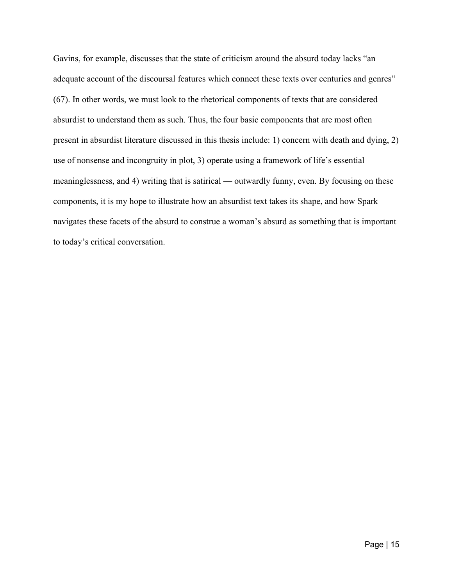Gavins, for example, discusses that the state of criticism around the absurd today lacks "an adequate account of the discoursal features which connect these texts over centuries and genres" (67). In other words, we must look to the rhetorical components of texts that are considered absurdist to understand them as such. Thus, the four basic components that are most often present in absurdist literature discussed in this thesis include: 1) concern with death and dying, 2) use of nonsense and incongruity in plot, 3) operate using a framework of life's essential meaninglessness, and 4) writing that is satirical — outwardly funny, even. By focusing on these components, it is my hope to illustrate how an absurdist text takes its shape, and how Spark navigates these facets of the absurd to construe a woman's absurd as something that is important to today's critical conversation.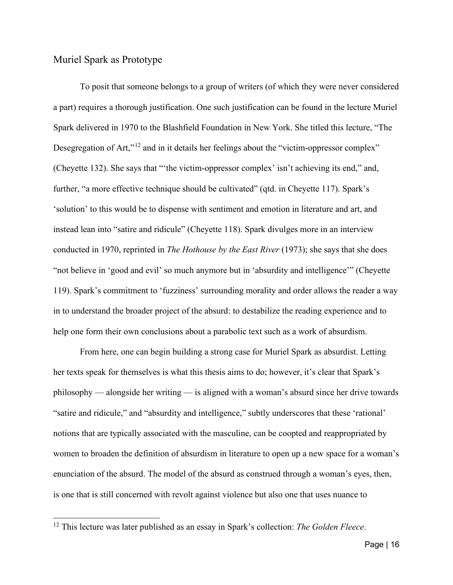### <span id="page-20-0"></span>Muriel Spark as Prototype

To posit that someone belongs to a group of writers (of which they were never considered a part) requires a thorough justification. One such justification can be found in the lecture Muriel Spark delivered in 1970 to the Blashfield Foundation in New York. She titled this lecture, "The Desegregation of Art,"<sup>[12](#page-20-1)</sup> and in it details her feelings about the "victim-oppressor complex" (Cheyette 132). She says that "'the victim-oppressor complex' isn't achieving its end," and, further, "a more effective technique should be cultivated" (qtd. in Cheyette 117). Spark's 'solution' to this would be to dispense with sentiment and emotion in literature and art, and instead lean into "satire and ridicule" (Cheyette 118). Spark divulges more in an interview conducted in 1970, reprinted in *The Hothouse by the East River* (1973); she says that she does "not believe in 'good and evil' so much anymore but in 'absurdity and intelligence'" (Cheyette 119). Spark's commitment to 'fuzziness' surrounding morality and order allows the reader a way in to understand the broader project of the absurd: to destabilize the reading experience and to help one form their own conclusions about a parabolic text such as a work of absurdism.

From here, one can begin building a strong case for Muriel Spark as absurdist. Letting her texts speak for themselves is what this thesis aims to do; however, it's clear that Spark's philosophy — alongside her writing — is aligned with a woman's absurd since her drive towards "satire and ridicule," and "absurdity and intelligence," subtly underscores that these 'rational' notions that are typically associated with the masculine, can be coopted and reappropriated by women to broaden the definition of absurdism in literature to open up a new space for a woman's enunciation of the absurd. The model of the absurd as construed through a woman's eyes, then, is one that is still concerned with revolt against violence but also one that uses nuance to

<span id="page-20-1"></span><sup>12</sup> This lecture was later published as an essay in Spark's collection: *The Golden Fleece*.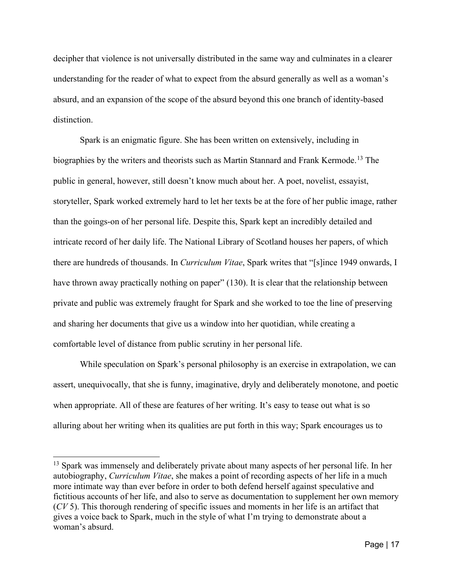decipher that violence is not universally distributed in the same way and culminates in a clearer understanding for the reader of what to expect from the absurd generally as well as a woman's absurd, and an expansion of the scope of the absurd beyond this one branch of identity-based distinction.

Spark is an enigmatic figure. She has been written on extensively, including in biographies by the writers and theorists such as Martin Stannard and Frank Kermode. [13](#page-21-0) The public in general, however, still doesn't know much about her. A poet, novelist, essayist, storyteller, Spark worked extremely hard to let her texts be at the fore of her public image, rather than the goings-on of her personal life. Despite this, Spark kept an incredibly detailed and intricate record of her daily life. The National Library of Scotland houses her papers, of which there are hundreds of thousands. In *Curriculum Vitae*, Spark writes that "[s]ince 1949 onwards, I have thrown away practically nothing on paper" (130). It is clear that the relationship between private and public was extremely fraught for Spark and she worked to toe the line of preserving and sharing her documents that give us a window into her quotidian, while creating a comfortable level of distance from public scrutiny in her personal life.

While speculation on Spark's personal philosophy is an exercise in extrapolation, we can assert, unequivocally, that she is funny, imaginative, dryly and deliberately monotone, and poetic when appropriate. All of these are features of her writing. It's easy to tease out what is so alluring about her writing when its qualities are put forth in this way; Spark encourages us to

<span id="page-21-0"></span><sup>&</sup>lt;sup>13</sup> Spark was immensely and deliberately private about many aspects of her personal life. In her autobiography, *Curriculum Vitae*, she makes a point of recording aspects of her life in a much more intimate way than ever before in order to both defend herself against speculative and fictitious accounts of her life, and also to serve as documentation to supplement her own memory (*CV* 5). This thorough rendering of specific issues and moments in her life is an artifact that gives a voice back to Spark, much in the style of what I'm trying to demonstrate about a woman's absurd.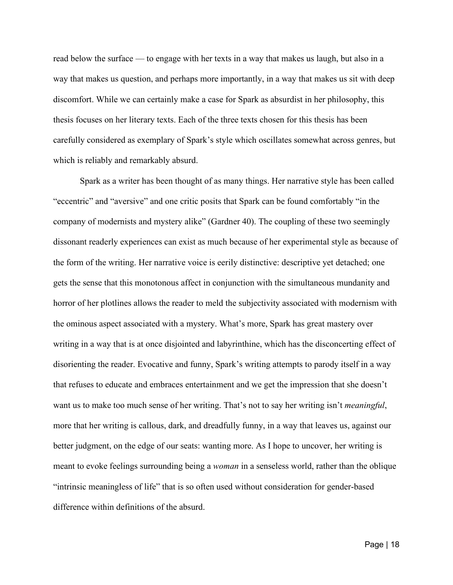read below the surface — to engage with her texts in a way that makes us laugh, but also in a way that makes us question, and perhaps more importantly, in a way that makes us sit with deep discomfort. While we can certainly make a case for Spark as absurdist in her philosophy, this thesis focuses on her literary texts. Each of the three texts chosen for this thesis has been carefully considered as exemplary of Spark's style which oscillates somewhat across genres, but which is reliably and remarkably absurd.

Spark as a writer has been thought of as many things. Her narrative style has been called "eccentric" and "aversive" and one critic posits that Spark can be found comfortably "in the company of modernists and mystery alike" (Gardner 40). The coupling of these two seemingly dissonant readerly experiences can exist as much because of her experimental style as because of the form of the writing. Her narrative voice is eerily distinctive: descriptive yet detached; one gets the sense that this monotonous affect in conjunction with the simultaneous mundanity and horror of her plotlines allows the reader to meld the subjectivity associated with modernism with the ominous aspect associated with a mystery. What's more, Spark has great mastery over writing in a way that is at once disjointed and labyrinthine, which has the disconcerting effect of disorienting the reader. Evocative and funny, Spark's writing attempts to parody itself in a way that refuses to educate and embraces entertainment and we get the impression that she doesn't want us to make too much sense of her writing. That's not to say her writing isn't *meaningful*, more that her writing is callous, dark, and dreadfully funny, in a way that leaves us, against our better judgment, on the edge of our seats: wanting more. As I hope to uncover, her writing is meant to evoke feelings surrounding being a *woman* in a senseless world, rather than the oblique "intrinsic meaningless of life" that is so often used without consideration for gender-based difference within definitions of the absurd.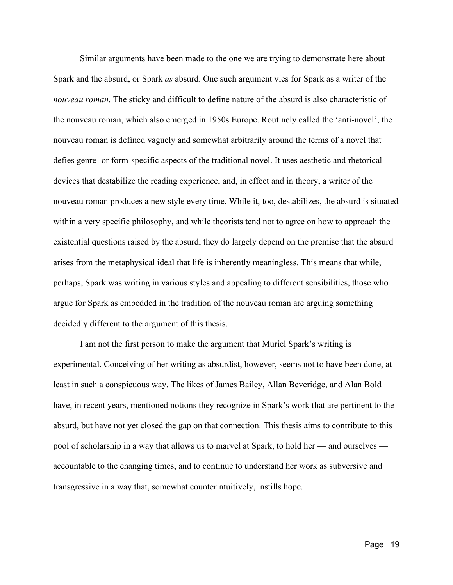Similar arguments have been made to the one we are trying to demonstrate here about Spark and the absurd, or Spark *as* absurd. One such argument vies for Spark as a writer of the *nouveau roman*. The sticky and difficult to define nature of the absurd is also characteristic of the nouveau roman, which also emerged in 1950s Europe. Routinely called the 'anti-novel', the nouveau roman is defined vaguely and somewhat arbitrarily around the terms of a novel that defies genre- or form-specific aspects of the traditional novel. It uses aesthetic and rhetorical devices that destabilize the reading experience, and, in effect and in theory, a writer of the nouveau roman produces a new style every time. While it, too, destabilizes, the absurd is situated within a very specific philosophy, and while theorists tend not to agree on how to approach the existential questions raised by the absurd, they do largely depend on the premise that the absurd arises from the metaphysical ideal that life is inherently meaningless. This means that while, perhaps, Spark was writing in various styles and appealing to different sensibilities, those who argue for Spark as embedded in the tradition of the nouveau roman are arguing something decidedly different to the argument of this thesis.

I am not the first person to make the argument that Muriel Spark's writing is experimental. Conceiving of her writing as absurdist, however, seems not to have been done, at least in such a conspicuous way. The likes of James Bailey, Allan Beveridge, and Alan Bold have, in recent years, mentioned notions they recognize in Spark's work that are pertinent to the absurd, but have not yet closed the gap on that connection. This thesis aims to contribute to this pool of scholarship in a way that allows us to marvel at Spark, to hold her — and ourselves accountable to the changing times, and to continue to understand her work as subversive and transgressive in a way that, somewhat counterintuitively, instills hope.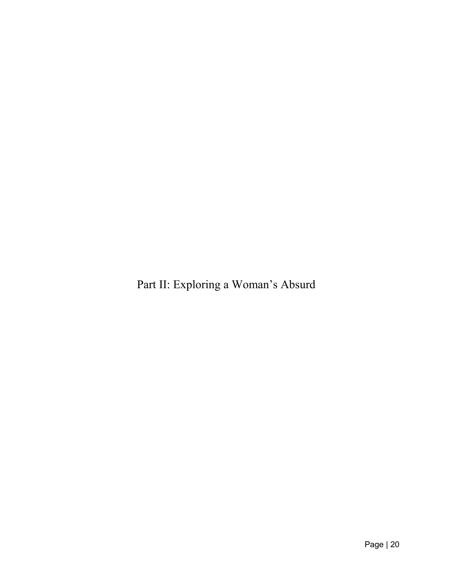<span id="page-24-0"></span>Part II: Exploring a Woman's Absurd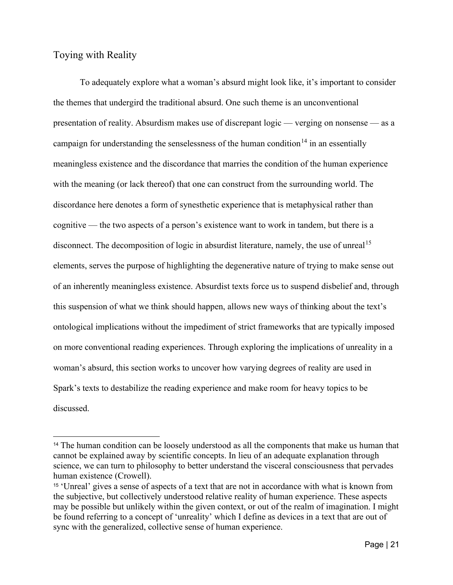### <span id="page-25-0"></span>Toying with Reality

To adequately explore what a woman's absurd might look like, it's important to consider the themes that undergird the traditional absurd. One such theme is an unconventional presentation of reality. Absurdism makes use of discrepant logic — verging on nonsense — as a campaign for understanding the senselessness of the human condition<sup>[14](#page-25-1)</sup> in an essentially meaningless existence and the discordance that marries the condition of the human experience with the meaning (or lack thereof) that one can construct from the surrounding world. The discordance here denotes a form of synesthetic experience that is metaphysical rather than cognitive — the two aspects of a person's existence want to work in tandem, but there is a disconnect. The decomposition of logic in absurdist literature, namely, the use of unreal<sup>[15](#page-25-2)</sup> elements, serves the purpose of highlighting the degenerative nature of trying to make sense out of an inherently meaningless existence. Absurdist texts force us to suspend disbelief and, through this suspension of what we think should happen, allows new ways of thinking about the text's ontological implications without the impediment of strict frameworks that are typically imposed on more conventional reading experiences. Through exploring the implications of unreality in a woman's absurd, this section works to uncover how varying degrees of reality are used in Spark's texts to destabilize the reading experience and make room for heavy topics to be discussed.

<span id="page-25-1"></span><sup>&</sup>lt;sup>14</sup> The human condition can be loosely understood as all the components that make us human that cannot be explained away by scientific concepts. In lieu of an adequate explanation through science, we can turn to philosophy to better understand the visceral consciousness that pervades human existence (Crowell).

<span id="page-25-2"></span><sup>15</sup> 'Unreal' gives a sense of aspects of a text that are not in accordance with what is known from the subjective, but collectively understood relative reality of human experience. These aspects may be possible but unlikely within the given context, or out of the realm of imagination. I might be found referring to a concept of 'unreality' which I define as devices in a text that are out of sync with the generalized, collective sense of human experience.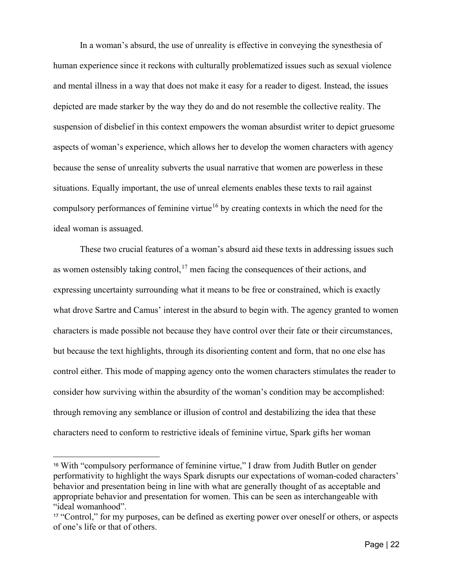In a woman's absurd, the use of unreality is effective in conveying the synesthesia of human experience since it reckons with culturally problematized issues such as sexual violence and mental illness in a way that does not make it easy for a reader to digest. Instead, the issues depicted are made starker by the way they do and do not resemble the collective reality. The suspension of disbelief in this context empowers the woman absurdist writer to depict gruesome aspects of woman's experience, which allows her to develop the women characters with agency because the sense of unreality subverts the usual narrative that women are powerless in these situations. Equally important, the use of unreal elements enables these texts to rail against compulsory performances of feminine virtue<sup>[16](#page-26-0)</sup> by creating contexts in which the need for the ideal woman is assuaged.

These two crucial features of a woman's absurd aid these texts in addressing issues such as women ostensibly taking control,  $17$  men facing the consequences of their actions, and expressing uncertainty surrounding what it means to be free or constrained, which is exactly what drove Sartre and Camus' interest in the absurd to begin with. The agency granted to women characters is made possible not because they have control over their fate or their circumstances, but because the text highlights, through its disorienting content and form, that no one else has control either. This mode of mapping agency onto the women characters stimulates the reader to consider how surviving within the absurdity of the woman's condition may be accomplished: through removing any semblance or illusion of control and destabilizing the idea that these characters need to conform to restrictive ideals of feminine virtue, Spark gifts her woman

<span id="page-26-0"></span><sup>16</sup> With "compulsory performance of feminine virtue," I draw from Judith Butler on gender performativity to highlight the ways Spark disrupts our expectations of woman-coded characters' behavior and presentation being in line with what are generally thought of as acceptable and appropriate behavior and presentation for women. This can be seen as interchangeable with "ideal womanhood".

<span id="page-26-1"></span><sup>&</sup>lt;sup>17</sup> "Control," for my purposes, can be defined as exerting power over oneself or others, or aspects of one's life or that of others.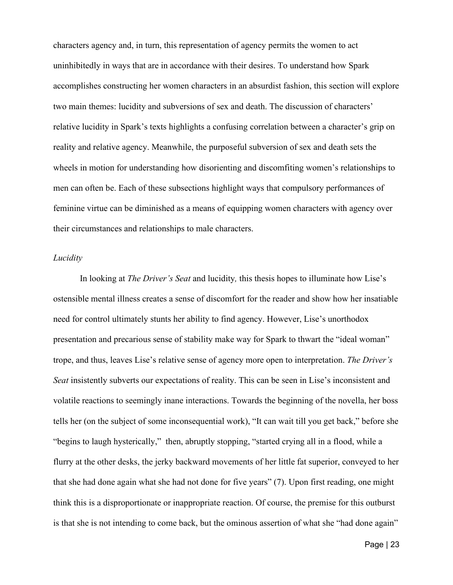characters agency and, in turn, this representation of agency permits the women to act uninhibitedly in ways that are in accordance with their desires. To understand how Spark accomplishes constructing her women characters in an absurdist fashion, this section will explore two main themes: lucidity and subversions of sex and death. The discussion of characters' relative lucidity in Spark's texts highlights a confusing correlation between a character's grip on reality and relative agency. Meanwhile, the purposeful subversion of sex and death sets the wheels in motion for understanding how disorienting and discomfiting women's relationships to men can often be. Each of these subsections highlight ways that compulsory performances of feminine virtue can be diminished as a means of equipping women characters with agency over their circumstances and relationships to male characters.

### *Lucidity*

In looking at *The Driver's Seat* and lucidity*,* this thesis hopes to illuminate how Lise's ostensible mental illness creates a sense of discomfort for the reader and show how her insatiable need for control ultimately stunts her ability to find agency. However, Lise's unorthodox presentation and precarious sense of stability make way for Spark to thwart the "ideal woman" trope, and thus, leaves Lise's relative sense of agency more open to interpretation. *The Driver's Seat* insistently subverts our expectations of reality. This can be seen in Lise's inconsistent and volatile reactions to seemingly inane interactions. Towards the beginning of the novella, her boss tells her (on the subject of some inconsequential work), "It can wait till you get back," before she "begins to laugh hysterically," then, abruptly stopping, "started crying all in a flood, while a flurry at the other desks, the jerky backward movements of her little fat superior, conveyed to her that she had done again what she had not done for five years" (7). Upon first reading, one might think this is a disproportionate or inappropriate reaction. Of course, the premise for this outburst is that she is not intending to come back, but the ominous assertion of what she "had done again"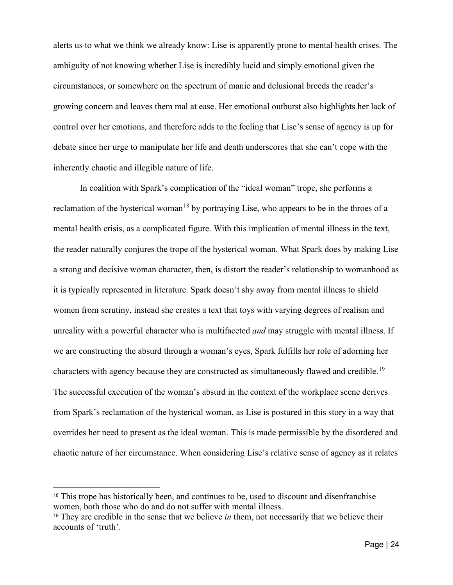alerts us to what we think we already know: Lise is apparently prone to mental health crises. The ambiguity of not knowing whether Lise is incredibly lucid and simply emotional given the circumstances, or somewhere on the spectrum of manic and delusional breeds the reader's growing concern and leaves them mal at ease. Her emotional outburst also highlights her lack of control over her emotions, and therefore adds to the feeling that Lise's sense of agency is up for debate since her urge to manipulate her life and death underscores that she can't cope with the inherently chaotic and illegible nature of life.

In coalition with Spark's complication of the "ideal woman" trope, she performs a reclamation of the hysterical woman<sup>[18](#page-28-0)</sup> by portraying Lise, who appears to be in the throes of a mental health crisis, as a complicated figure. With this implication of mental illness in the text, the reader naturally conjures the trope of the hysterical woman. What Spark does by making Lise a strong and decisive woman character, then, is distort the reader's relationship to womanhood as it is typically represented in literature. Spark doesn't shy away from mental illness to shield women from scrutiny, instead she creates a text that toys with varying degrees of realism and unreality with a powerful character who is multifaceted *and* may struggle with mental illness. If we are constructing the absurd through a woman's eyes, Spark fulfills her role of adorning her characters with agency because they are constructed as simultaneously flawed and credible.<sup>[19](#page-28-1)</sup> The successful execution of the woman's absurd in the context of the workplace scene derives from Spark's reclamation of the hysterical woman, as Lise is postured in this story in a way that overrides her need to present as the ideal woman. This is made permissible by the disordered and chaotic nature of her circumstance. When considering Lise's relative sense of agency as it relates

<span id="page-28-0"></span><sup>&</sup>lt;sup>18</sup> This trope has historically been, and continues to be, used to discount and disenfranchise women, both those who do and do not suffer with mental illness.

<span id="page-28-1"></span><sup>19</sup> They are credible in the sense that we believe *in* them, not necessarily that we believe their accounts of 'truth'.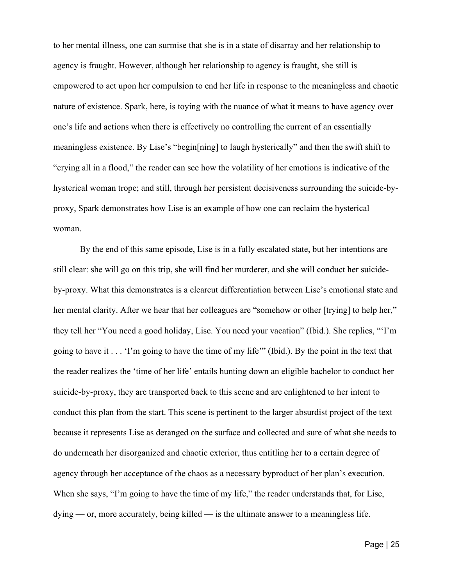to her mental illness, one can surmise that she is in a state of disarray and her relationship to agency is fraught. However, although her relationship to agency is fraught, she still is empowered to act upon her compulsion to end her life in response to the meaningless and chaotic nature of existence. Spark, here, is toying with the nuance of what it means to have agency over one's life and actions when there is effectively no controlling the current of an essentially meaningless existence. By Lise's "begin[ning] to laugh hysterically" and then the swift shift to "crying all in a flood," the reader can see how the volatility of her emotions is indicative of the hysterical woman trope; and still, through her persistent decisiveness surrounding the suicide-byproxy, Spark demonstrates how Lise is an example of how one can reclaim the hysterical woman.

By the end of this same episode, Lise is in a fully escalated state, but her intentions are still clear: she will go on this trip, she will find her murderer, and she will conduct her suicideby-proxy. What this demonstrates is a clearcut differentiation between Lise's emotional state and her mental clarity. After we hear that her colleagues are "somehow or other [trying] to help her," they tell her "You need a good holiday, Lise. You need your vacation" (Ibid.). She replies, "'I'm going to have it . . . 'I'm going to have the time of my life'" (Ibid.). By the point in the text that the reader realizes the 'time of her life' entails hunting down an eligible bachelor to conduct her suicide-by-proxy, they are transported back to this scene and are enlightened to her intent to conduct this plan from the start. This scene is pertinent to the larger absurdist project of the text because it represents Lise as deranged on the surface and collected and sure of what she needs to do underneath her disorganized and chaotic exterior, thus entitling her to a certain degree of agency through her acceptance of the chaos as a necessary byproduct of her plan's execution. When she says, "I'm going to have the time of my life," the reader understands that, for Lise, dying — or, more accurately, being killed — is the ultimate answer to a meaningless life.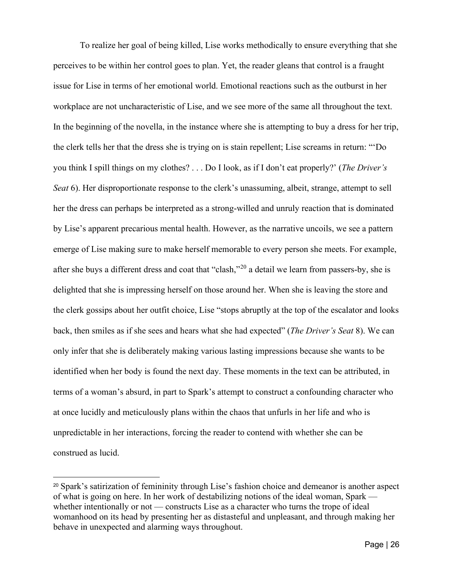To realize her goal of being killed, Lise works methodically to ensure everything that she perceives to be within her control goes to plan. Yet, the reader gleans that control is a fraught issue for Lise in terms of her emotional world. Emotional reactions such as the outburst in her workplace are not uncharacteristic of Lise, and we see more of the same all throughout the text. In the beginning of the novella, in the instance where she is attempting to buy a dress for her trip, the clerk tells her that the dress she is trying on is stain repellent; Lise screams in return: "'Do you think I spill things on my clothes? . . . Do I look, as if I don't eat properly?' (*The Driver's Seat* 6). Her disproportionate response to the clerk's unassuming, albeit, strange, attempt to sell her the dress can perhaps be interpreted as a strong-willed and unruly reaction that is dominated by Lise's apparent precarious mental health. However, as the narrative uncoils, we see a pattern emerge of Lise making sure to make herself memorable to every person she meets. For example, after she buys a different dress and coat that "clash,"[20](#page-30-0) a detail we learn from passers-by, she is delighted that she is impressing herself on those around her. When she is leaving the store and the clerk gossips about her outfit choice, Lise "stops abruptly at the top of the escalator and looks back, then smiles as if she sees and hears what she had expected" (*The Driver's Seat* 8). We can only infer that she is deliberately making various lasting impressions because she wants to be identified when her body is found the next day. These moments in the text can be attributed, in terms of a woman's absurd, in part to Spark's attempt to construct a confounding character who at once lucidly and meticulously plans within the chaos that unfurls in her life and who is unpredictable in her interactions, forcing the reader to contend with whether she can be construed as lucid.

<span id="page-30-0"></span><sup>20</sup> Spark's satirization of femininity through Lise's fashion choice and demeanor is another aspect of what is going on here. In her work of destabilizing notions of the ideal woman, Spark whether intentionally or not — constructs Lise as a character who turns the trope of ideal womanhood on its head by presenting her as distasteful and unpleasant, and through making her behave in unexpected and alarming ways throughout.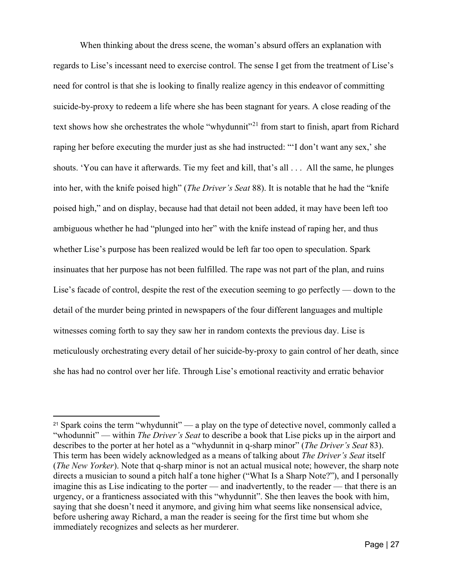When thinking about the dress scene, the woman's absurd offers an explanation with regards to Lise's incessant need to exercise control. The sense I get from the treatment of Lise's need for control is that she is looking to finally realize agency in this endeavor of committing suicide-by-proxy to redeem a life where she has been stagnant for years. A close reading of the text shows how she orchestrates the whole "whydunnit"<sup>[21](#page-31-0)</sup> from start to finish, apart from Richard raping her before executing the murder just as she had instructed: "'I don't want any sex,' she shouts. 'You can have it afterwards. Tie my feet and kill, that's all . . . All the same, he plunges into her, with the knife poised high" (*The Driver's Seat* 88). It is notable that he had the "knife poised high," and on display, because had that detail not been added, it may have been left too ambiguous whether he had "plunged into her" with the knife instead of raping her, and thus whether Lise's purpose has been realized would be left far too open to speculation. Spark insinuates that her purpose has not been fulfilled. The rape was not part of the plan, and ruins Lise's facade of control, despite the rest of the execution seeming to go perfectly — down to the detail of the murder being printed in newspapers of the four different languages and multiple witnesses coming forth to say they saw her in random contexts the previous day. Lise is meticulously orchestrating every detail of her suicide-by-proxy to gain control of her death, since she has had no control over her life. Through Lise's emotional reactivity and erratic behavior

<span id="page-31-0"></span><sup>&</sup>lt;sup>21</sup> Spark coins the term "whydunnit" — a play on the type of detective novel, commonly called a "whodunnit" — within *The Driver's Seat* to describe a book that Lise picks up in the airport and describes to the porter at her hotel as a "whydunnit in q-sharp minor" (*The Driver's Seat* 83). This term has been widely acknowledged as a means of talking about *The Driver's Seat* itself (*The New Yorker*). Note that q-sharp minor is not an actual musical note; however, the sharp note directs a musician to sound a pitch half a tone higher ("What Is a Sharp Note?"), and I personally imagine this as Lise indicating to the porter — and inadvertently, to the reader — that there is an urgency, or a franticness associated with this "whydunnit". She then leaves the book with him, saying that she doesn't need it anymore, and giving him what seems like nonsensical advice, before ushering away Richard, a man the reader is seeing for the first time but whom she immediately recognizes and selects as her murderer.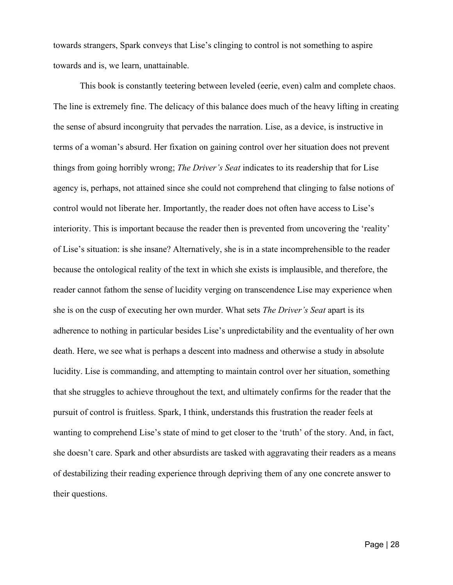towards strangers, Spark conveys that Lise's clinging to control is not something to aspire towards and is, we learn, unattainable.

This book is constantly teetering between leveled (eerie, even) calm and complete chaos. The line is extremely fine. The delicacy of this balance does much of the heavy lifting in creating the sense of absurd incongruity that pervades the narration. Lise, as a device, is instructive in terms of a woman's absurd. Her fixation on gaining control over her situation does not prevent things from going horribly wrong; *The Driver's Seat* indicates to its readership that for Lise agency is, perhaps, not attained since she could not comprehend that clinging to false notions of control would not liberate her. Importantly, the reader does not often have access to Lise's interiority. This is important because the reader then is prevented from uncovering the 'reality' of Lise's situation: is she insane? Alternatively, she is in a state incomprehensible to the reader because the ontological reality of the text in which she exists is implausible, and therefore, the reader cannot fathom the sense of lucidity verging on transcendence Lise may experience when she is on the cusp of executing her own murder. What sets *The Driver's Seat* apart is its adherence to nothing in particular besides Lise's unpredictability and the eventuality of her own death. Here, we see what is perhaps a descent into madness and otherwise a study in absolute lucidity. Lise is commanding, and attempting to maintain control over her situation, something that she struggles to achieve throughout the text, and ultimately confirms for the reader that the pursuit of control is fruitless. Spark, I think, understands this frustration the reader feels at wanting to comprehend Lise's state of mind to get closer to the 'truth' of the story. And, in fact, she doesn't care. Spark and other absurdists are tasked with aggravating their readers as a means of destabilizing their reading experience through depriving them of any one concrete answer to their questions.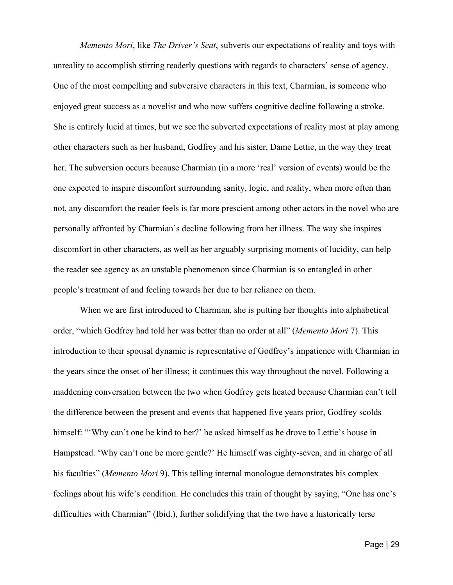*Memento Mori*, like *The Driver's Seat*, subverts our expectations of reality and toys with unreality to accomplish stirring readerly questions with regards to characters' sense of agency. One of the most compelling and subversive characters in this text, Charmian, is someone who enjoyed great success as a novelist and who now suffers cognitive decline following a stroke. She is entirely lucid at times, but we see the subverted expectations of reality most at play among other characters such as her husband, Godfrey and his sister, Dame Lettie, in the way they treat her. The subversion occurs because Charmian (in a more 'real' version of events) would be the one expected to inspire discomfort surrounding sanity, logic, and reality, when more often than not, any discomfort the reader feels is far more prescient among other actors in the novel who are personally affronted by Charmian's decline following from her illness. The way she inspires discomfort in other characters, as well as her arguably surprising moments of lucidity, can help the reader see agency as an unstable phenomenon since Charmian is so entangled in other people's treatment of and feeling towards her due to her reliance on them.

When we are first introduced to Charmian, she is putting her thoughts into alphabetical order, "which Godfrey had told her was better than no order at all" (*Memento Mori* 7). This introduction to their spousal dynamic is representative of Godfrey's impatience with Charmian in the years since the onset of her illness; it continues this way throughout the novel. Following a maddening conversation between the two when Godfrey gets heated because Charmian can't tell the difference between the present and events that happened five years prior, Godfrey scolds himself: "'Why can't one be kind to her?' he asked himself as he drove to Lettie's house in Hampstead. 'Why can't one be more gentle?' He himself was eighty-seven, and in charge of all his faculties" (*Memento Mori* 9). This telling internal monologue demonstrates his complex feelings about his wife's condition. He concludes this train of thought by saying, "One has one's difficulties with Charmian" (Ibid.), further solidifying that the two have a historically terse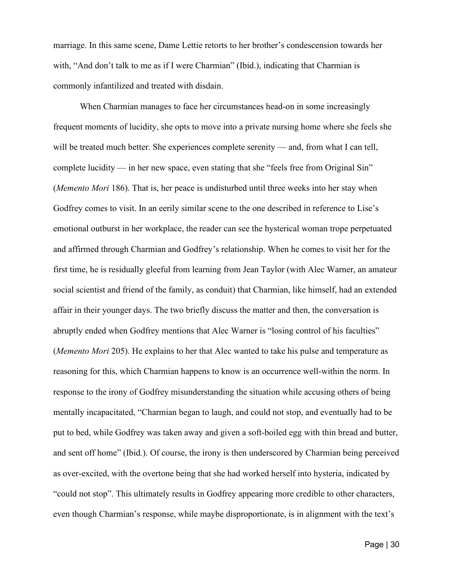marriage. In this same scene, Dame Lettie retorts to her brother's condescension towards her with, "And don't talk to me as if I were Charmian" (Ibid.), indicating that Charmian is commonly infantilized and treated with disdain.

When Charmian manages to face her circumstances head-on in some increasingly frequent moments of lucidity, she opts to move into a private nursing home where she feels she will be treated much better. She experiences complete serenity — and, from what I can tell, complete lucidity — in her new space, even stating that she "feels free from Original Sin" (*Memento Mori* 186). That is, her peace is undisturbed until three weeks into her stay when Godfrey comes to visit. In an eerily similar scene to the one described in reference to Lise's emotional outburst in her workplace, the reader can see the hysterical woman trope perpetuated and affirmed through Charmian and Godfrey's relationship. When he comes to visit her for the first time, he is residually gleeful from learning from Jean Taylor (with Alec Warner, an amateur social scientist and friend of the family, as conduit) that Charmian, like himself, had an extended affair in their younger days. The two briefly discuss the matter and then, the conversation is abruptly ended when Godfrey mentions that Alec Warner is "losing control of his faculties" (*Memento Mori* 205). He explains to her that Alec wanted to take his pulse and temperature as reasoning for this, which Charmian happens to know is an occurrence well-within the norm. In response to the irony of Godfrey misunderstanding the situation while accusing others of being mentally incapacitated, "Charmian began to laugh, and could not stop, and eventually had to be put to bed, while Godfrey was taken away and given a soft-boiled egg with thin bread and butter, and sent off home" (Ibid*.*). Of course, the irony is then underscored by Charmian being perceived as over-excited, with the overtone being that she had worked herself into hysteria, indicated by "could not stop". This ultimately results in Godfrey appearing more credible to other characters, even though Charmian's response, while maybe disproportionate, is in alignment with the text's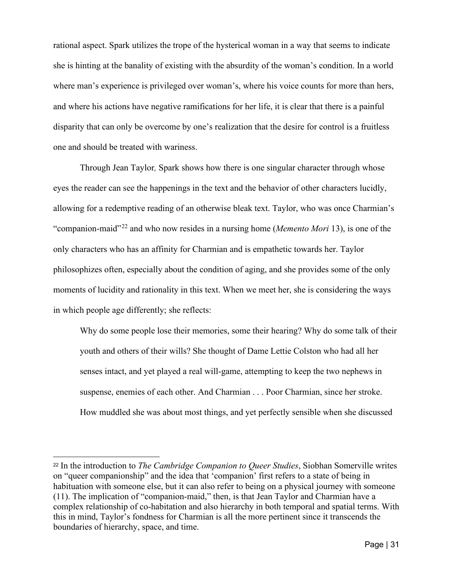rational aspect. Spark utilizes the trope of the hysterical woman in a way that seems to indicate she is hinting at the banality of existing with the absurdity of the woman's condition. In a world where man's experience is privileged over woman's, where his voice counts for more than hers, and where his actions have negative ramifications for her life, it is clear that there is a painful disparity that can only be overcome by one's realization that the desire for control is a fruitless one and should be treated with wariness.

Through Jean Taylor*,* Spark shows how there is one singular character through whose eyes the reader can see the happenings in the text and the behavior of other characters lucidly, allowing for a redemptive reading of an otherwise bleak text. Taylor, who was once Charmian's "companion-maid"[22](#page-35-0) and who now resides in a nursing home (*Memento Mori* 13), is one of the only characters who has an affinity for Charmian and is empathetic towards her. Taylor philosophizes often, especially about the condition of aging, and she provides some of the only moments of lucidity and rationality in this text. When we meet her, she is considering the ways in which people age differently; she reflects:

Why do some people lose their memories, some their hearing? Why do some talk of their youth and others of their wills? She thought of Dame Lettie Colston who had all her senses intact, and yet played a real will-game, attempting to keep the two nephews in suspense, enemies of each other. And Charmian . . . Poor Charmian, since her stroke. How muddled she was about most things, and yet perfectly sensible when she discussed

<span id="page-35-0"></span><sup>22</sup> In the introduction to *The Cambridge Companion to Queer Studies*, Siobhan Somerville writes on "queer companionship" and the idea that 'companion' first refers to a state of being in habituation with someone else, but it can also refer to being on a physical journey with someone (11). The implication of "companion-maid," then, is that Jean Taylor and Charmian have a complex relationship of co-habitation and also hierarchy in both temporal and spatial terms. With this in mind, Taylor's fondness for Charmian is all the more pertinent since it transcends the boundaries of hierarchy, space, and time.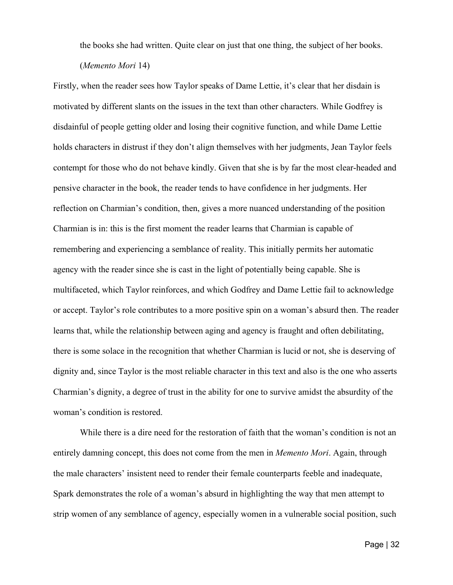the books she had written. Quite clear on just that one thing, the subject of her books.

Firstly, when the reader sees how Taylor speaks of Dame Lettie, it's clear that her disdain is motivated by different slants on the issues in the text than other characters. While Godfrey is disdainful of people getting older and losing their cognitive function, and while Dame Lettie holds characters in distrust if they don't align themselves with her judgments, Jean Taylor feels contempt for those who do not behave kindly. Given that she is by far the most clear-headed and pensive character in the book, the reader tends to have confidence in her judgments. Her reflection on Charmian's condition, then, gives a more nuanced understanding of the position Charmian is in: this is the first moment the reader learns that Charmian is capable of remembering and experiencing a semblance of reality. This initially permits her automatic agency with the reader since she is cast in the light of potentially being capable. She is multifaceted, which Taylor reinforces, and which Godfrey and Dame Lettie fail to acknowledge or accept. Taylor's role contributes to a more positive spin on a woman's absurd then. The reader learns that, while the relationship between aging and agency is fraught and often debilitating, there is some solace in the recognition that whether Charmian is lucid or not, she is deserving of dignity and, since Taylor is the most reliable character in this text and also is the one who asserts Charmian's dignity, a degree of trust in the ability for one to survive amidst the absurdity of the woman's condition is restored.

While there is a dire need for the restoration of faith that the woman's condition is not an entirely damning concept, this does not come from the men in *Memento Mori*. Again, through the male characters' insistent need to render their female counterparts feeble and inadequate, Spark demonstrates the role of a woman's absurd in highlighting the way that men attempt to strip women of any semblance of agency, especially women in a vulnerable social position, such

<sup>(</sup>*Memento Mori* 14)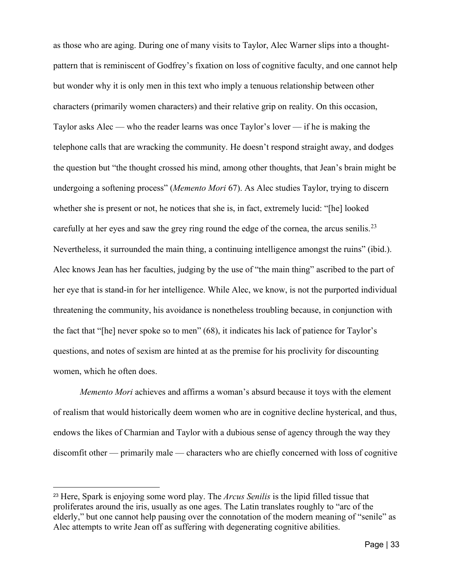as those who are aging. During one of many visits to Taylor, Alec Warner slips into a thoughtpattern that is reminiscent of Godfrey's fixation on loss of cognitive faculty, and one cannot help but wonder why it is only men in this text who imply a tenuous relationship between other characters (primarily women characters) and their relative grip on reality. On this occasion, Taylor asks Alec — who the reader learns was once Taylor's lover — if he is making the telephone calls that are wracking the community. He doesn't respond straight away, and dodges the question but "the thought crossed his mind, among other thoughts, that Jean's brain might be undergoing a softening process" (*Memento Mori* 67). As Alec studies Taylor, trying to discern whether she is present or not, he notices that she is, in fact, extremely lucid: "[he] looked carefully at her eyes and saw the grey ring round the edge of the cornea, the arcus senilis.<sup>[23](#page-37-0)</sup> Nevertheless, it surrounded the main thing, a continuing intelligence amongst the ruins" (ibid.). Alec knows Jean has her faculties, judging by the use of "the main thing" ascribed to the part of her eye that is stand-in for her intelligence. While Alec, we know, is not the purported individual threatening the community, his avoidance is nonetheless troubling because, in conjunction with the fact that "[he] never spoke so to men" (68), it indicates his lack of patience for Taylor's questions, and notes of sexism are hinted at as the premise for his proclivity for discounting women, which he often does.

*Memento Mori* achieves and affirms a woman's absurd because it toys with the element of realism that would historically deem women who are in cognitive decline hysterical, and thus, endows the likes of Charmian and Taylor with a dubious sense of agency through the way they discomfit other — primarily male — characters who are chiefly concerned with loss of cognitive

<span id="page-37-0"></span><sup>23</sup> Here, Spark is enjoying some word play. The *Arcus Senilis* is the lipid filled tissue that proliferates around the iris, usually as one ages. The Latin translates roughly to "arc of the elderly," but one cannot help pausing over the connotation of the modern meaning of "senile" as Alec attempts to write Jean off as suffering with degenerating cognitive abilities.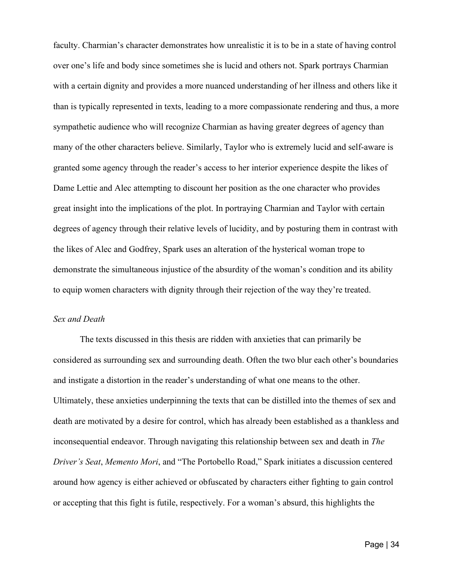faculty. Charmian's character demonstrates how unrealistic it is to be in a state of having control over one's life and body since sometimes she is lucid and others not. Spark portrays Charmian with a certain dignity and provides a more nuanced understanding of her illness and others like it than is typically represented in texts, leading to a more compassionate rendering and thus, a more sympathetic audience who will recognize Charmian as having greater degrees of agency than many of the other characters believe. Similarly, Taylor who is extremely lucid and self-aware is granted some agency through the reader's access to her interior experience despite the likes of Dame Lettie and Alec attempting to discount her position as the one character who provides great insight into the implications of the plot. In portraying Charmian and Taylor with certain degrees of agency through their relative levels of lucidity, and by posturing them in contrast with the likes of Alec and Godfrey, Spark uses an alteration of the hysterical woman trope to demonstrate the simultaneous injustice of the absurdity of the woman's condition and its ability to equip women characters with dignity through their rejection of the way they're treated.

### *Sex and Death*

The texts discussed in this thesis are ridden with anxieties that can primarily be considered as surrounding sex and surrounding death. Often the two blur each other's boundaries and instigate a distortion in the reader's understanding of what one means to the other. Ultimately, these anxieties underpinning the texts that can be distilled into the themes of sex and death are motivated by a desire for control, which has already been established as a thankless and inconsequential endeavor. Through navigating this relationship between sex and death in *The Driver's Seat*, *Memento Mori*, and "The Portobello Road," Spark initiates a discussion centered around how agency is either achieved or obfuscated by characters either fighting to gain control or accepting that this fight is futile, respectively. For a woman's absurd, this highlights the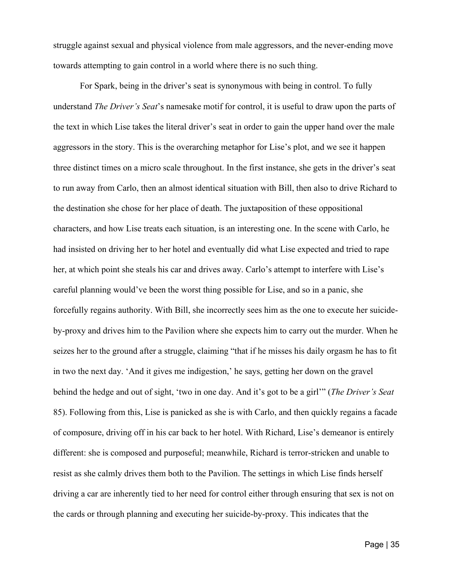struggle against sexual and physical violence from male aggressors, and the never-ending move towards attempting to gain control in a world where there is no such thing.

For Spark, being in the driver's seat is synonymous with being in control. To fully understand *The Driver's Seat*'s namesake motif for control, it is useful to draw upon the parts of the text in which Lise takes the literal driver's seat in order to gain the upper hand over the male aggressors in the story. This is the overarching metaphor for Lise's plot, and we see it happen three distinct times on a micro scale throughout. In the first instance, she gets in the driver's seat to run away from Carlo, then an almost identical situation with Bill, then also to drive Richard to the destination she chose for her place of death. The juxtaposition of these oppositional characters, and how Lise treats each situation, is an interesting one. In the scene with Carlo, he had insisted on driving her to her hotel and eventually did what Lise expected and tried to rape her, at which point she steals his car and drives away. Carlo's attempt to interfere with Lise's careful planning would've been the worst thing possible for Lise, and so in a panic, she forcefully regains authority. With Bill, she incorrectly sees him as the one to execute her suicideby-proxy and drives him to the Pavilion where she expects him to carry out the murder. When he seizes her to the ground after a struggle, claiming "that if he misses his daily orgasm he has to fit in two the next day. 'And it gives me indigestion,' he says, getting her down on the gravel behind the hedge and out of sight, 'two in one day. And it's got to be a girl'" (*The Driver's Seat* 85). Following from this, Lise is panicked as she is with Carlo, and then quickly regains a facade of composure, driving off in his car back to her hotel. With Richard, Lise's demeanor is entirely different: she is composed and purposeful; meanwhile, Richard is terror-stricken and unable to resist as she calmly drives them both to the Pavilion. The settings in which Lise finds herself driving a car are inherently tied to her need for control either through ensuring that sex is not on the cards or through planning and executing her suicide-by-proxy. This indicates that the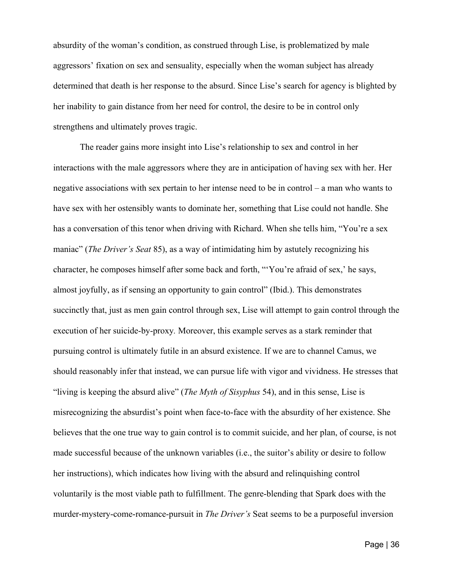absurdity of the woman's condition, as construed through Lise, is problematized by male aggressors' fixation on sex and sensuality, especially when the woman subject has already determined that death is her response to the absurd. Since Lise's search for agency is blighted by her inability to gain distance from her need for control, the desire to be in control only strengthens and ultimately proves tragic.

The reader gains more insight into Lise's relationship to sex and control in her interactions with the male aggressors where they are in anticipation of having sex with her. Her negative associations with sex pertain to her intense need to be in control – a man who wants to have sex with her ostensibly wants to dominate her, something that Lise could not handle. She has a conversation of this tenor when driving with Richard. When she tells him, "You're a sex maniac" (*The Driver's Seat* 85), as a way of intimidating him by astutely recognizing his character, he composes himself after some back and forth, "'You're afraid of sex,' he says, almost joyfully, as if sensing an opportunity to gain control" (Ibid.). This demonstrates succinctly that, just as men gain control through sex, Lise will attempt to gain control through the execution of her suicide-by-proxy*.* Moreover, this example serves as a stark reminder that pursuing control is ultimately futile in an absurd existence. If we are to channel Camus, we should reasonably infer that instead, we can pursue life with vigor and vividness. He stresses that "living is keeping the absurd alive" (*The Myth of Sisyphus* 54), and in this sense, Lise is misrecognizing the absurdist's point when face-to-face with the absurdity of her existence. She believes that the one true way to gain control is to commit suicide, and her plan, of course, is not made successful because of the unknown variables (i.e., the suitor's ability or desire to follow her instructions), which indicates how living with the absurd and relinquishing control voluntarily is the most viable path to fulfillment. The genre-blending that Spark does with the murder-mystery-come-romance-pursuit in *The Driver's* Seat seems to be a purposeful inversion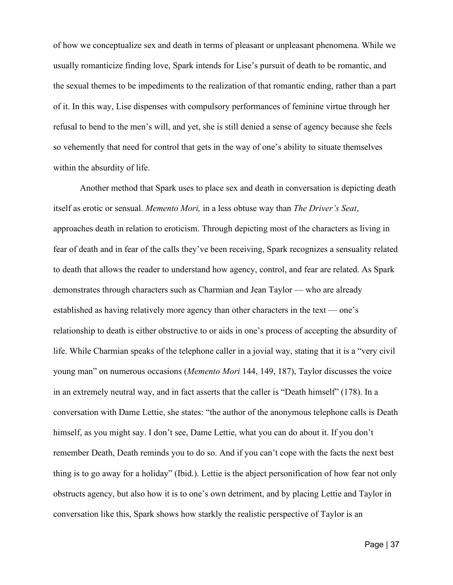of how we conceptualize sex and death in terms of pleasant or unpleasant phenomena. While we usually romanticize finding love, Spark intends for Lise's pursuit of death to be romantic, and the sexual themes to be impediments to the realization of that romantic ending, rather than a part of it. In this way, Lise dispenses with compulsory performances of feminine virtue through her refusal to bend to the men's will, and yet, she is still denied a sense of agency because she feels so vehemently that need for control that gets in the way of one's ability to situate themselves within the absurdity of life.

Another method that Spark uses to place sex and death in conversation is depicting death itself as erotic or sensual. *Memento Mori,* in a less obtuse way than *The Driver's Seat*, approaches death in relation to eroticism. Through depicting most of the characters as living in fear of death and in fear of the calls they've been receiving, Spark recognizes a sensuality related to death that allows the reader to understand how agency, control, and fear are related. As Spark demonstrates through characters such as Charmian and Jean Taylor — who are already established as having relatively more agency than other characters in the text — one's relationship to death is either obstructive to or aids in one's process of accepting the absurdity of life. While Charmian speaks of the telephone caller in a jovial way, stating that it is a "very civil young man" on numerous occasions (*Memento Mori* 144, 149, 187), Taylor discusses the voice in an extremely neutral way, and in fact asserts that the caller is "Death himself" (178). In a conversation with Dame Lettie, she states: "the author of the anonymous telephone calls is Death himself, as you might say. I don't see, Dame Lettie, what you can do about it. If you don't remember Death, Death reminds you to do so. And if you can't cope with the facts the next best thing is to go away for a holiday" (Ibid.). Lettie is the abject personification of how fear not only obstructs agency, but also how it is to one's own detriment, and by placing Lettie and Taylor in conversation like this, Spark shows how starkly the realistic perspective of Taylor is an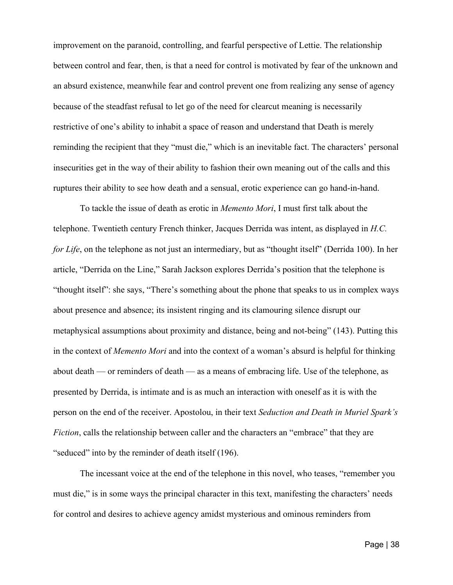improvement on the paranoid, controlling, and fearful perspective of Lettie. The relationship between control and fear, then, is that a need for control is motivated by fear of the unknown and an absurd existence, meanwhile fear and control prevent one from realizing any sense of agency because of the steadfast refusal to let go of the need for clearcut meaning is necessarily restrictive of one's ability to inhabit a space of reason and understand that Death is merely reminding the recipient that they "must die," which is an inevitable fact. The characters' personal insecurities get in the way of their ability to fashion their own meaning out of the calls and this ruptures their ability to see how death and a sensual, erotic experience can go hand-in-hand.

To tackle the issue of death as erotic in *Memento Mori*, I must first talk about the telephone. Twentieth century French thinker, Jacques Derrida was intent, as displayed in *H.C. for Life*, on the telephone as not just an intermediary, but as "thought itself" (Derrida 100). In her article, "Derrida on the Line," Sarah Jackson explores Derrida's position that the telephone is "thought itself": she says, "There's something about the phone that speaks to us in complex ways about presence and absence; its insistent ringing and its clamouring silence disrupt our metaphysical assumptions about proximity and distance, being and not-being" (143). Putting this in the context of *Memento Mori* and into the context of a woman's absurd is helpful for thinking about death — or reminders of death — as a means of embracing life. Use of the telephone, as presented by Derrida, is intimate and is as much an interaction with oneself as it is with the person on the end of the receiver. Apostolou, in their text *Seduction and Death in Muriel Spark's Fiction*, calls the relationship between caller and the characters an "embrace" that they are "seduced" into by the reminder of death itself (196).

The incessant voice at the end of the telephone in this novel, who teases, "remember you must die," is in some ways the principal character in this text, manifesting the characters' needs for control and desires to achieve agency amidst mysterious and ominous reminders from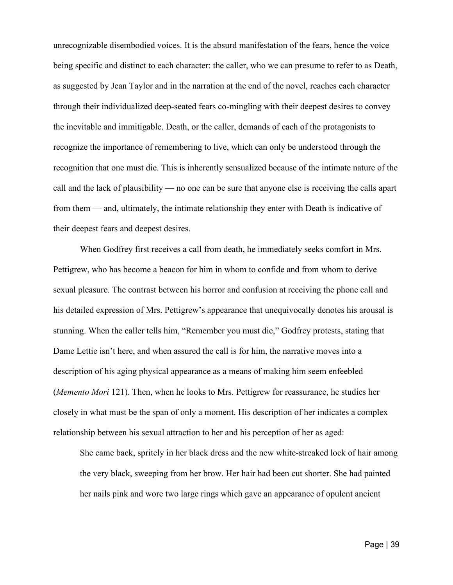unrecognizable disembodied voices. It is the absurd manifestation of the fears, hence the voice being specific and distinct to each character: the caller, who we can presume to refer to as Death, as suggested by Jean Taylor and in the narration at the end of the novel, reaches each character through their individualized deep-seated fears co-mingling with their deepest desires to convey the inevitable and immitigable. Death, or the caller, demands of each of the protagonists to recognize the importance of remembering to live, which can only be understood through the recognition that one must die. This is inherently sensualized because of the intimate nature of the call and the lack of plausibility — no one can be sure that anyone else is receiving the calls apart from them — and, ultimately, the intimate relationship they enter with Death is indicative of their deepest fears and deepest desires.

When Godfrey first receives a call from death, he immediately seeks comfort in Mrs. Pettigrew, who has become a beacon for him in whom to confide and from whom to derive sexual pleasure. The contrast between his horror and confusion at receiving the phone call and his detailed expression of Mrs. Pettigrew's appearance that unequivocally denotes his arousal is stunning. When the caller tells him, "Remember you must die," Godfrey protests, stating that Dame Lettie isn't here, and when assured the call is for him, the narrative moves into a description of his aging physical appearance as a means of making him seem enfeebled (*Memento Mori* 121). Then, when he looks to Mrs. Pettigrew for reassurance, he studies her closely in what must be the span of only a moment. His description of her indicates a complex relationship between his sexual attraction to her and his perception of her as aged:

She came back, spritely in her black dress and the new white-streaked lock of hair among the very black, sweeping from her brow. Her hair had been cut shorter. She had painted her nails pink and wore two large rings which gave an appearance of opulent ancient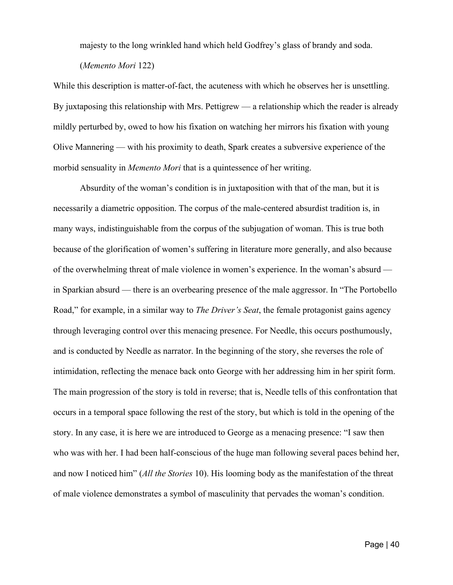majesty to the long wrinkled hand which held Godfrey's glass of brandy and soda.

While this description is matter-of-fact, the acuteness with which he observes her is unsettling. By juxtaposing this relationship with Mrs. Pettigrew — a relationship which the reader is already mildly perturbed by, owed to how his fixation on watching her mirrors his fixation with young Olive Mannering — with his proximity to death, Spark creates a subversive experience of the morbid sensuality in *Memento Mori* that is a quintessence of her writing.

Absurdity of the woman's condition is in juxtaposition with that of the man, but it is necessarily a diametric opposition. The corpus of the male-centered absurdist tradition is, in many ways, indistinguishable from the corpus of the subjugation of woman. This is true both because of the glorification of women's suffering in literature more generally, and also because of the overwhelming threat of male violence in women's experience. In the woman's absurd in Sparkian absurd — there is an overbearing presence of the male aggressor. In "The Portobello Road," for example, in a similar way to *The Driver's Seat*, the female protagonist gains agency through leveraging control over this menacing presence. For Needle, this occurs posthumously, and is conducted by Needle as narrator. In the beginning of the story, she reverses the role of intimidation, reflecting the menace back onto George with her addressing him in her spirit form. The main progression of the story is told in reverse; that is, Needle tells of this confrontation that occurs in a temporal space following the rest of the story, but which is told in the opening of the story. In any case, it is here we are introduced to George as a menacing presence: "I saw then who was with her. I had been half-conscious of the huge man following several paces behind her, and now I noticed him" (*All the Stories* 10). His looming body as the manifestation of the threat of male violence demonstrates a symbol of masculinity that pervades the woman's condition.

<sup>(</sup>*Memento Mori* 122)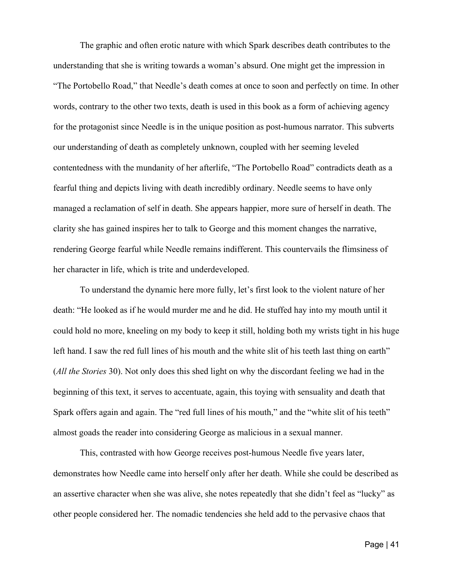The graphic and often erotic nature with which Spark describes death contributes to the understanding that she is writing towards a woman's absurd. One might get the impression in "The Portobello Road," that Needle's death comes at once to soon and perfectly on time. In other words, contrary to the other two texts, death is used in this book as a form of achieving agency for the protagonist since Needle is in the unique position as post-humous narrator. This subverts our understanding of death as completely unknown, coupled with her seeming leveled contentedness with the mundanity of her afterlife, "The Portobello Road" contradicts death as a fearful thing and depicts living with death incredibly ordinary. Needle seems to have only managed a reclamation of self in death. She appears happier, more sure of herself in death. The clarity she has gained inspires her to talk to George and this moment changes the narrative, rendering George fearful while Needle remains indifferent. This countervails the flimsiness of her character in life, which is trite and underdeveloped.

To understand the dynamic here more fully, let's first look to the violent nature of her death: "He looked as if he would murder me and he did. He stuffed hay into my mouth until it could hold no more, kneeling on my body to keep it still, holding both my wrists tight in his huge left hand. I saw the red full lines of his mouth and the white slit of his teeth last thing on earth" (*All the Stories* 30). Not only does this shed light on why the discordant feeling we had in the beginning of this text, it serves to accentuate, again, this toying with sensuality and death that Spark offers again and again. The "red full lines of his mouth," and the "white slit of his teeth" almost goads the reader into considering George as malicious in a sexual manner.

This, contrasted with how George receives post-humous Needle five years later, demonstrates how Needle came into herself only after her death. While she could be described as an assertive character when she was alive, she notes repeatedly that she didn't feel as "lucky" as other people considered her. The nomadic tendencies she held add to the pervasive chaos that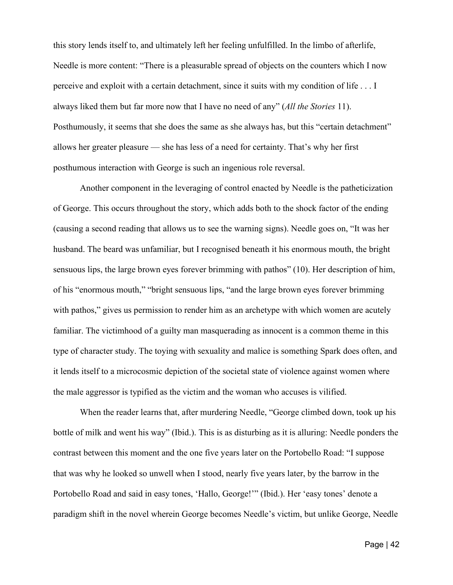this story lends itself to, and ultimately left her feeling unfulfilled. In the limbo of afterlife, Needle is more content: "There is a pleasurable spread of objects on the counters which I now perceive and exploit with a certain detachment, since it suits with my condition of life . . . I always liked them but far more now that I have no need of any" (*All the Stories* 11). Posthumously, it seems that she does the same as she always has, but this "certain detachment" allows her greater pleasure — she has less of a need for certainty. That's why her first posthumous interaction with George is such an ingenious role reversal.

Another component in the leveraging of control enacted by Needle is the patheticization of George. This occurs throughout the story, which adds both to the shock factor of the ending (causing a second reading that allows us to see the warning signs). Needle goes on, "It was her husband. The beard was unfamiliar, but I recognised beneath it his enormous mouth, the bright sensuous lips, the large brown eyes forever brimming with pathos" (10). Her description of him, of his "enormous mouth," "bright sensuous lips, "and the large brown eyes forever brimming with pathos," gives us permission to render him as an archetype with which women are acutely familiar. The victimhood of a guilty man masquerading as innocent is a common theme in this type of character study. The toying with sexuality and malice is something Spark does often, and it lends itself to a microcosmic depiction of the societal state of violence against women where the male aggressor is typified as the victim and the woman who accuses is vilified.

When the reader learns that, after murdering Needle, "George climbed down, took up his bottle of milk and went his way" (Ibid.). This is as disturbing as it is alluring: Needle ponders the contrast between this moment and the one five years later on the Portobello Road: "I suppose that was why he looked so unwell when I stood, nearly five years later, by the barrow in the Portobello Road and said in easy tones, 'Hallo, George!'" (Ibid.). Her 'easy tones' denote a paradigm shift in the novel wherein George becomes Needle's victim, but unlike George, Needle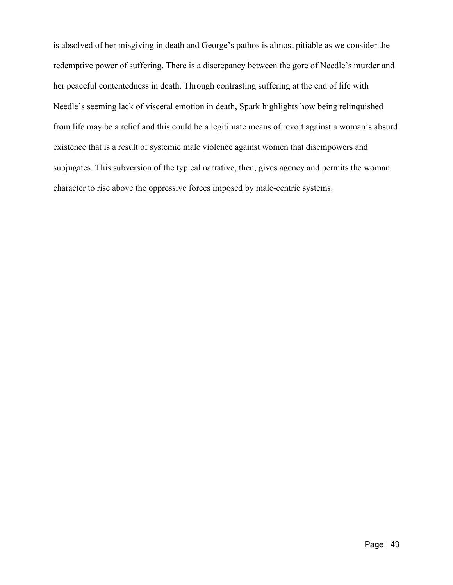is absolved of her misgiving in death and George's pathos is almost pitiable as we consider the redemptive power of suffering. There is a discrepancy between the gore of Needle's murder and her peaceful contentedness in death. Through contrasting suffering at the end of life with Needle's seeming lack of visceral emotion in death, Spark highlights how being relinquished from life may be a relief and this could be a legitimate means of revolt against a woman's absurd existence that is a result of systemic male violence against women that disempowers and subjugates. This subversion of the typical narrative, then, gives agency and permits the woman character to rise above the oppressive forces imposed by male-centric systems.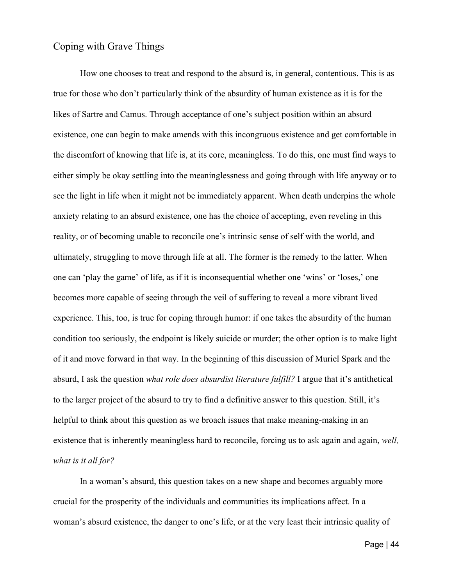### <span id="page-48-0"></span>Coping with Grave Things

How one chooses to treat and respond to the absurd is, in general, contentious. This is as true for those who don't particularly think of the absurdity of human existence as it is for the likes of Sartre and Camus. Through acceptance of one's subject position within an absurd existence, one can begin to make amends with this incongruous existence and get comfortable in the discomfort of knowing that life is, at its core, meaningless. To do this, one must find ways to either simply be okay settling into the meaninglessness and going through with life anyway or to see the light in life when it might not be immediately apparent. When death underpins the whole anxiety relating to an absurd existence, one has the choice of accepting, even reveling in this reality, or of becoming unable to reconcile one's intrinsic sense of self with the world, and ultimately, struggling to move through life at all. The former is the remedy to the latter. When one can 'play the game' of life, as if it is inconsequential whether one 'wins' or 'loses,' one becomes more capable of seeing through the veil of suffering to reveal a more vibrant lived experience. This, too, is true for coping through humor: if one takes the absurdity of the human condition too seriously, the endpoint is likely suicide or murder; the other option is to make light of it and move forward in that way. In the beginning of this discussion of Muriel Spark and the absurd, I ask the question *what role does absurdist literature fulfill?* I argue that it's antithetical to the larger project of the absurd to try to find a definitive answer to this question. Still, it's helpful to think about this question as we broach issues that make meaning-making in an existence that is inherently meaningless hard to reconcile, forcing us to ask again and again, *well, what is it all for?*

In a woman's absurd, this question takes on a new shape and becomes arguably more crucial for the prosperity of the individuals and communities its implications affect. In a woman's absurd existence, the danger to one's life, or at the very least their intrinsic quality of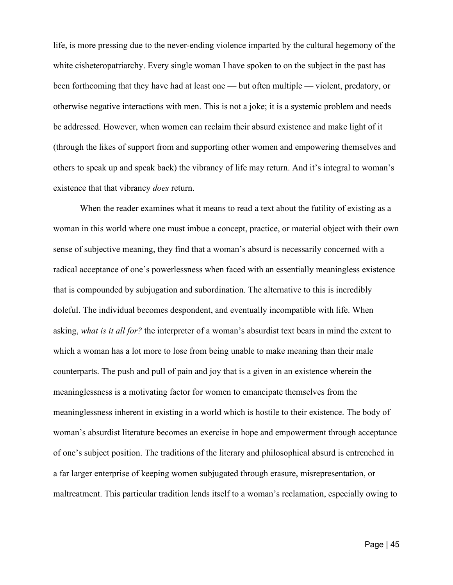life, is more pressing due to the never-ending violence imparted by the cultural hegemony of the white cisheteropatriarchy. Every single woman I have spoken to on the subject in the past has been forthcoming that they have had at least one — but often multiple — violent, predatory, or otherwise negative interactions with men. This is not a joke; it is a systemic problem and needs be addressed. However, when women can reclaim their absurd existence and make light of it (through the likes of support from and supporting other women and empowering themselves and others to speak up and speak back) the vibrancy of life may return. And it's integral to woman's existence that that vibrancy *does* return.

When the reader examines what it means to read a text about the futility of existing as a woman in this world where one must imbue a concept, practice, or material object with their own sense of subjective meaning, they find that a woman's absurd is necessarily concerned with a radical acceptance of one's powerlessness when faced with an essentially meaningless existence that is compounded by subjugation and subordination. The alternative to this is incredibly doleful. The individual becomes despondent, and eventually incompatible with life. When asking, *what is it all for?* the interpreter of a woman's absurdist text bears in mind the extent to which a woman has a lot more to lose from being unable to make meaning than their male counterparts. The push and pull of pain and joy that is a given in an existence wherein the meaninglessness is a motivating factor for women to emancipate themselves from the meaninglessness inherent in existing in a world which is hostile to their existence. The body of woman's absurdist literature becomes an exercise in hope and empowerment through acceptance of one's subject position. The traditions of the literary and philosophical absurd is entrenched in a far larger enterprise of keeping women subjugated through erasure, misrepresentation, or maltreatment. This particular tradition lends itself to a woman's reclamation, especially owing to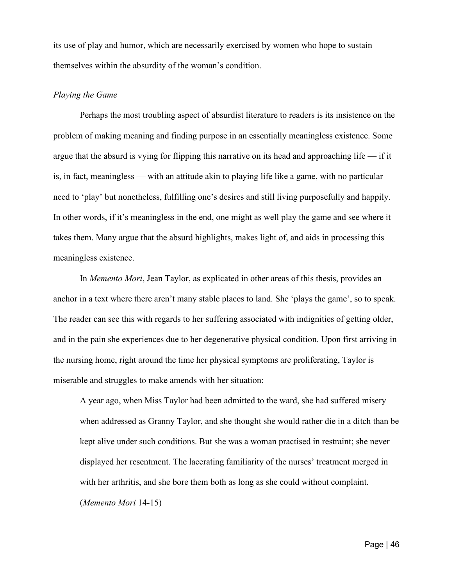its use of play and humor, which are necessarily exercised by women who hope to sustain themselves within the absurdity of the woman's condition.

### *Playing the Game*

Perhaps the most troubling aspect of absurdist literature to readers is its insistence on the problem of making meaning and finding purpose in an essentially meaningless existence. Some argue that the absurd is vying for flipping this narrative on its head and approaching life — if it is, in fact, meaningless — with an attitude akin to playing life like a game, with no particular need to 'play' but nonetheless, fulfilling one's desires and still living purposefully and happily. In other words, if it's meaningless in the end, one might as well play the game and see where it takes them. Many argue that the absurd highlights, makes light of, and aids in processing this meaningless existence.

In *Memento Mori*, Jean Taylor, as explicated in other areas of this thesis, provides an anchor in a text where there aren't many stable places to land. She 'plays the game', so to speak. The reader can see this with regards to her suffering associated with indignities of getting older, and in the pain she experiences due to her degenerative physical condition. Upon first arriving in the nursing home, right around the time her physical symptoms are proliferating, Taylor is miserable and struggles to make amends with her situation:

A year ago, when Miss Taylor had been admitted to the ward, she had suffered misery when addressed as Granny Taylor, and she thought she would rather die in a ditch than be kept alive under such conditions. But she was a woman practised in restraint; she never displayed her resentment. The lacerating familiarity of the nurses' treatment merged in with her arthritis, and she bore them both as long as she could without complaint. (*Memento Mori* 14-15)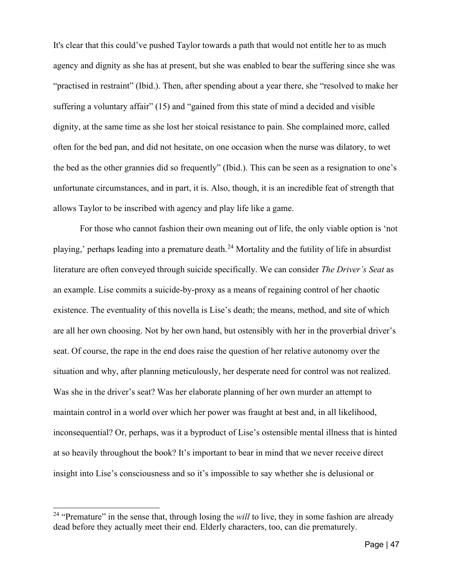It's clear that this could've pushed Taylor towards a path that would not entitle her to as much agency and dignity as she has at present, but she was enabled to bear the suffering since she was "practised in restraint" (Ibid.). Then, after spending about a year there, she "resolved to make her suffering a voluntary affair" (15) and "gained from this state of mind a decided and visible dignity, at the same time as she lost her stoical resistance to pain. She complained more, called often for the bed pan, and did not hesitate, on one occasion when the nurse was dilatory, to wet the bed as the other grannies did so frequently" (Ibid.). This can be seen as a resignation to one's unfortunate circumstances, and in part, it is. Also, though, it is an incredible feat of strength that allows Taylor to be inscribed with agency and play life like a game.

For those who cannot fashion their own meaning out of life, the only viable option is 'not playing,' perhaps leading into a premature death.<sup>[24](#page-51-0)</sup> Mortality and the futility of life in absurdist literature are often conveyed through suicide specifically. We can consider *The Driver's Seat* as an example. Lise commits a suicide-by-proxy as a means of regaining control of her chaotic existence. The eventuality of this novella is Lise's death; the means, method, and site of which are all her own choosing. Not by her own hand, but ostensibly with her in the proverbial driver's seat. Of course, the rape in the end does raise the question of her relative autonomy over the situation and why, after planning meticulously, her desperate need for control was not realized. Was she in the driver's seat? Was her elaborate planning of her own murder an attempt to maintain control in a world over which her power was fraught at best and, in all likelihood, inconsequential? Or, perhaps, was it a byproduct of Lise's ostensible mental illness that is hinted at so heavily throughout the book? It's important to bear in mind that we never receive direct insight into Lise's consciousness and so it's impossible to say whether she is delusional or

<span id="page-51-0"></span><sup>&</sup>lt;sup>24</sup> "Premature" in the sense that, through losing the *will* to live, they in some fashion are already dead before they actually meet their end. Elderly characters, too, can die prematurely.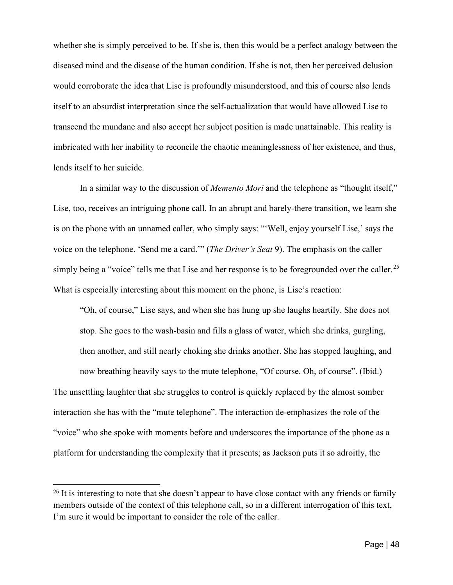whether she is simply perceived to be. If she is, then this would be a perfect analogy between the diseased mind and the disease of the human condition. If she is not, then her perceived delusion would corroborate the idea that Lise is profoundly misunderstood, and this of course also lends itself to an absurdist interpretation since the self-actualization that would have allowed Lise to transcend the mundane and also accept her subject position is made unattainable. This reality is imbricated with her inability to reconcile the chaotic meaninglessness of her existence, and thus, lends itself to her suicide.

In a similar way to the discussion of *Memento Mori* and the telephone as "thought itself," Lise, too, receives an intriguing phone call. In an abrupt and barely-there transition, we learn she is on the phone with an unnamed caller, who simply says: "'Well, enjoy yourself Lise,' says the voice on the telephone. 'Send me a card.'" (*The Driver's Seat* 9). The emphasis on the caller simply being a "voice" tells me that Lise and her response is to be foregrounded over the caller.<sup>[25](#page-52-0)</sup> What is especially interesting about this moment on the phone, is Lise's reaction:

"Oh, of course," Lise says, and when she has hung up she laughs heartily. She does not stop. She goes to the wash-basin and fills a glass of water, which she drinks, gurgling, then another, and still nearly choking she drinks another. She has stopped laughing, and now breathing heavily says to the mute telephone, "Of course. Oh, of course". (Ibid.) The unsettling laughter that she struggles to control is quickly replaced by the almost somber interaction she has with the "mute telephone". The interaction de-emphasizes the role of the "voice" who she spoke with moments before and underscores the importance of the phone as a platform for understanding the complexity that it presents; as Jackson puts it so adroitly, the

<span id="page-52-0"></span><sup>&</sup>lt;sup>25</sup> It is interesting to note that she doesn't appear to have close contact with any friends or family members outside of the context of this telephone call, so in a different interrogation of this text, I'm sure it would be important to consider the role of the caller.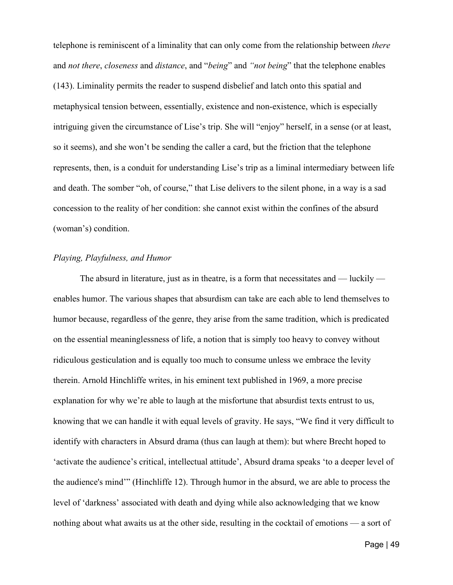telephone is reminiscent of a liminality that can only come from the relationship between *there* and *not there*, *closeness* and *distance*, and "*being*" and *"not being*" that the telephone enables (143). Liminality permits the reader to suspend disbelief and latch onto this spatial and metaphysical tension between, essentially, existence and non-existence, which is especially intriguing given the circumstance of Lise's trip. She will "enjoy" herself, in a sense (or at least, so it seems), and she won't be sending the caller a card, but the friction that the telephone represents, then, is a conduit for understanding Lise's trip as a liminal intermediary between life and death. The somber "oh, of course," that Lise delivers to the silent phone, in a way is a sad concession to the reality of her condition: she cannot exist within the confines of the absurd (woman's) condition.

### *Playing, Playfulness, and Humor*

The absurd in literature, just as in theatre, is a form that necessitates and  $-$  luckily  $$ enables humor. The various shapes that absurdism can take are each able to lend themselves to humor because, regardless of the genre, they arise from the same tradition, which is predicated on the essential meaninglessness of life, a notion that is simply too heavy to convey without ridiculous gesticulation and is equally too much to consume unless we embrace the levity therein. Arnold Hinchliffe writes, in his eminent text published in 1969, a more precise explanation for why we're able to laugh at the misfortune that absurdist texts entrust to us, knowing that we can handle it with equal levels of gravity. He says, "We find it very difficult to identify with characters in Absurd drama (thus can laugh at them): but where Brecht hoped to 'activate the audience's critical, intellectual attitude', Absurd drama speaks 'to a deeper level of the audience's mind'" (Hinchliffe 12). Through humor in the absurd, we are able to process the level of 'darkness' associated with death and dying while also acknowledging that we know nothing about what awaits us at the other side, resulting in the cocktail of emotions — a sort of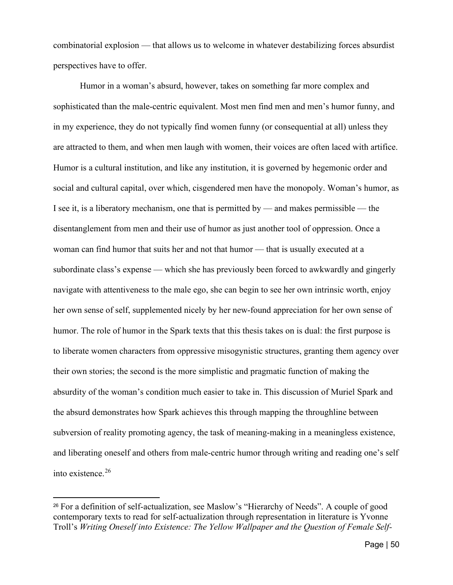combinatorial explosion — that allows us to welcome in whatever destabilizing forces absurdist perspectives have to offer.

Humor in a woman's absurd, however, takes on something far more complex and sophisticated than the male-centric equivalent. Most men find men and men's humor funny, and in my experience, they do not typically find women funny (or consequential at all) unless they are attracted to them, and when men laugh with women, their voices are often laced with artifice. Humor is a cultural institution, and like any institution, it is governed by hegemonic order and social and cultural capital, over which, cisgendered men have the monopoly. Woman's humor, as I see it, is a liberatory mechanism, one that is permitted by — and makes permissible — the disentanglement from men and their use of humor as just another tool of oppression. Once a woman can find humor that suits her and not that humor — that is usually executed at a subordinate class's expense — which she has previously been forced to awkwardly and gingerly navigate with attentiveness to the male ego, she can begin to see her own intrinsic worth, enjoy her own sense of self, supplemented nicely by her new-found appreciation for her own sense of humor. The role of humor in the Spark texts that this thesis takes on is dual: the first purpose is to liberate women characters from oppressive misogynistic structures, granting them agency over their own stories; the second is the more simplistic and pragmatic function of making the absurdity of the woman's condition much easier to take in. This discussion of Muriel Spark and the absurd demonstrates how Spark achieves this through mapping the throughline between subversion of reality promoting agency, the task of meaning-making in a meaningless existence, and liberating oneself and others from male-centric humor through writing and reading one's self into existence.[26](#page-55-0)

<sup>26</sup> For a definition of self-actualization, see Maslow's "Hierarchy of Needs". A couple of good contemporary texts to read for self-actualization through representation in literature is Yvonne Troll's *Writing Oneself into Existence: The Yellow Wallpaper and the Question of Female Self-*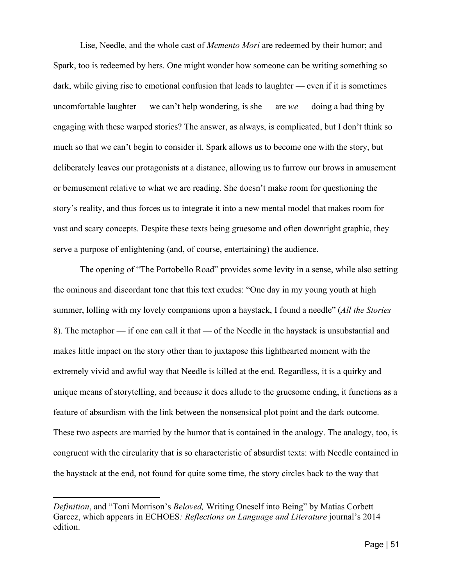Lise, Needle, and the whole cast of *Memento Mori* are redeemed by their humor; and Spark, too is redeemed by hers. One might wonder how someone can be writing something so dark, while giving rise to emotional confusion that leads to laughter — even if it is sometimes uncomfortable laughter — we can't help wondering, is she — are *we* — doing a bad thing by engaging with these warped stories? The answer, as always, is complicated, but I don't think so much so that we can't begin to consider it. Spark allows us to become one with the story, but deliberately leaves our protagonists at a distance, allowing us to furrow our brows in amusement or bemusement relative to what we are reading. She doesn't make room for questioning the story's reality, and thus forces us to integrate it into a new mental model that makes room for vast and scary concepts. Despite these texts being gruesome and often downright graphic, they serve a purpose of enlightening (and, of course, entertaining) the audience.

The opening of "The Portobello Road" provides some levity in a sense, while also setting the ominous and discordant tone that this text exudes: "One day in my young youth at high summer, lolling with my lovely companions upon a haystack, I found a needle" (*All the Stories* 8). The metaphor — if one can call it that — of the Needle in the haystack is unsubstantial and makes little impact on the story other than to juxtapose this lighthearted moment with the extremely vivid and awful way that Needle is killed at the end. Regardless, it is a quirky and unique means of storytelling, and because it does allude to the gruesome ending, it functions as a feature of absurdism with the link between the nonsensical plot point and the dark outcome. These two aspects are married by the humor that is contained in the analogy. The analogy, too, is congruent with the circularity that is so characteristic of absurdist texts: with Needle contained in the haystack at the end, not found for quite some time, the story circles back to the way that

<span id="page-55-0"></span>*Definition*, and "Toni Morrison's *Beloved,* Writing Oneself into Being" by Matias Corbett Garcez, which appears in ECHOES*: Reflections on Language and Literature* journal's 2014 edition.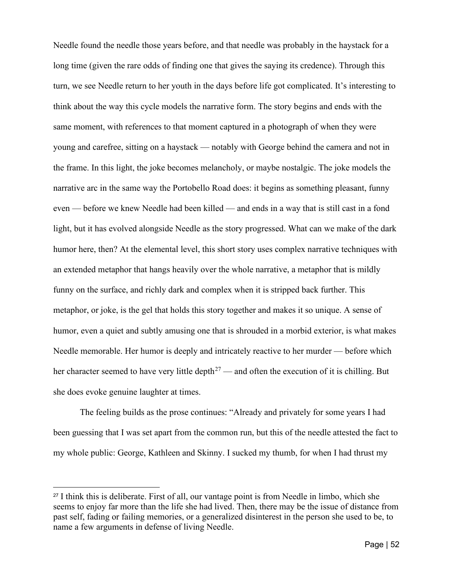Needle found the needle those years before, and that needle was probably in the haystack for a long time (given the rare odds of finding one that gives the saying its credence). Through this turn, we see Needle return to her youth in the days before life got complicated. It's interesting to think about the way this cycle models the narrative form. The story begins and ends with the same moment, with references to that moment captured in a photograph of when they were young and carefree, sitting on a haystack — notably with George behind the camera and not in the frame. In this light, the joke becomes melancholy, or maybe nostalgic. The joke models the narrative arc in the same way the Portobello Road does: it begins as something pleasant, funny even — before we knew Needle had been killed — and ends in a way that is still cast in a fond light, but it has evolved alongside Needle as the story progressed. What can we make of the dark humor here, then? At the elemental level, this short story uses complex narrative techniques with an extended metaphor that hangs heavily over the whole narrative, a metaphor that is mildly funny on the surface, and richly dark and complex when it is stripped back further. This metaphor, or joke, is the gel that holds this story together and makes it so unique. A sense of humor, even a quiet and subtly amusing one that is shrouded in a morbid exterior, is what makes Needle memorable. Her humor is deeply and intricately reactive to her murder — before which her character seemed to have very little depth<sup>[27](#page-56-0)</sup> — and often the execution of it is chilling. But she does evoke genuine laughter at times.

The feeling builds as the prose continues: "Already and privately for some years I had been guessing that I was set apart from the common run, but this of the needle attested the fact to my whole public: George, Kathleen and Skinny. I sucked my thumb, for when I had thrust my

<span id="page-56-0"></span><sup>27</sup> I think this is deliberate. First of all, our vantage point is from Needle in limbo, which she seems to enjoy far more than the life she had lived. Then, there may be the issue of distance from past self, fading or failing memories, or a generalized disinterest in the person she used to be, to name a few arguments in defense of living Needle.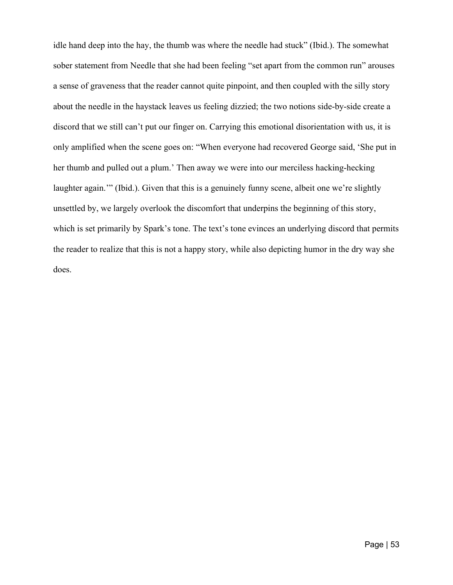idle hand deep into the hay, the thumb was where the needle had stuck" (Ibid.). The somewhat sober statement from Needle that she had been feeling "set apart from the common run" arouses a sense of graveness that the reader cannot quite pinpoint, and then coupled with the silly story about the needle in the haystack leaves us feeling dizzied; the two notions side-by-side create a discord that we still can't put our finger on. Carrying this emotional disorientation with us, it is only amplified when the scene goes on: "When everyone had recovered George said, 'She put in her thumb and pulled out a plum.' Then away we were into our merciless hacking-hecking laughter again."" (Ibid.). Given that this is a genuinely funny scene, albeit one we're slightly unsettled by, we largely overlook the discomfort that underpins the beginning of this story, which is set primarily by Spark's tone. The text's tone evinces an underlying discord that permits the reader to realize that this is not a happy story, while also depicting humor in the dry way she does.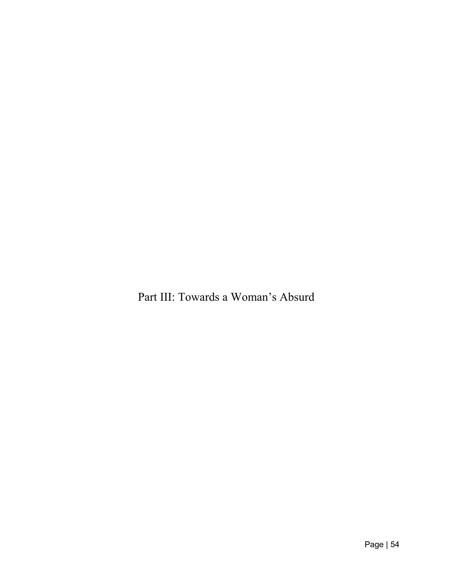<span id="page-58-0"></span>Part III: Towards a Woman's Absurd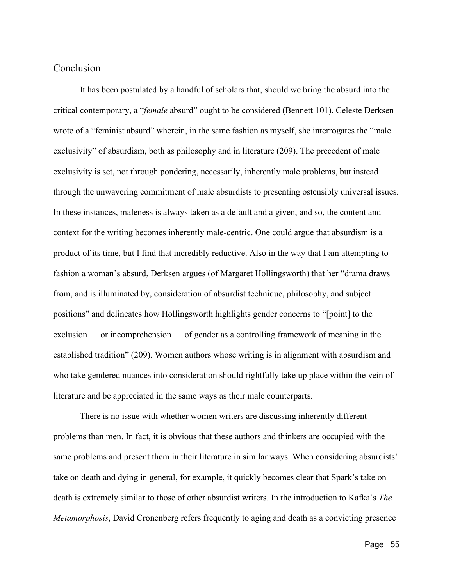### Conclusion

It has been postulated by a handful of scholars that, should we bring the absurd into the critical contemporary, a "*female* absurd" ought to be considered (Bennett 101). Celeste Derksen wrote of a "feminist absurd" wherein, in the same fashion as myself, she interrogates the "male exclusivity" of absurdism, both as philosophy and in literature (209). The precedent of male exclusivity is set, not through pondering, necessarily, inherently male problems, but instead through the unwavering commitment of male absurdists to presenting ostensibly universal issues. In these instances, maleness is always taken as a default and a given, and so, the content and context for the writing becomes inherently male-centric. One could argue that absurdism is a product of its time, but I find that incredibly reductive. Also in the way that I am attempting to fashion a woman's absurd, Derksen argues (of Margaret Hollingsworth) that her "drama draws from, and is illuminated by, consideration of absurdist technique, philosophy, and subject positions" and delineates how Hollingsworth highlights gender concerns to "[point] to the exclusion — or incomprehension — of gender as a controlling framework of meaning in the established tradition" (209). Women authors whose writing is in alignment with absurdism and who take gendered nuances into consideration should rightfully take up place within the vein of literature and be appreciated in the same ways as their male counterparts.

There is no issue with whether women writers are discussing inherently different problems than men. In fact, it is obvious that these authors and thinkers are occupied with the same problems and present them in their literature in similar ways. When considering absurdists' take on death and dying in general, for example, it quickly becomes clear that Spark's take on death is extremely similar to those of other absurdist writers. In the introduction to Kafka's *The Metamorphosis*, David Cronenberg refers frequently to aging and death as a convicting presence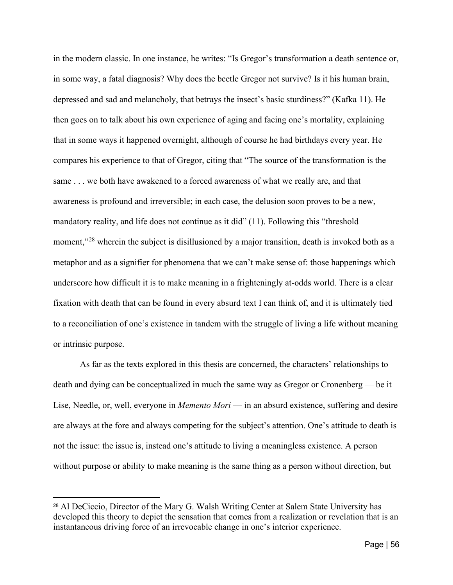in the modern classic. In one instance, he writes: "Is Gregor's transformation a death sentence or, in some way, a fatal diagnosis? Why does the beetle Gregor not survive? Is it his human brain, depressed and sad and melancholy, that betrays the insect's basic sturdiness?" (Kafka 11). He then goes on to talk about his own experience of aging and facing one's mortality, explaining that in some ways it happened overnight, although of course he had birthdays every year. He compares his experience to that of Gregor, citing that "The source of the transformation is the same . . . we both have awakened to a forced awareness of what we really are, and that awareness is profound and irreversible; in each case, the delusion soon proves to be a new, mandatory reality, and life does not continue as it did" (11). Following this "threshold moment,"<sup>[28](#page-60-0)</sup> wherein the subject is disillusioned by a major transition, death is invoked both as a metaphor and as a signifier for phenomena that we can't make sense of: those happenings which underscore how difficult it is to make meaning in a frighteningly at-odds world. There is a clear fixation with death that can be found in every absurd text I can think of, and it is ultimately tied to a reconciliation of one's existence in tandem with the struggle of living a life without meaning or intrinsic purpose.

As far as the texts explored in this thesis are concerned, the characters' relationships to death and dying can be conceptualized in much the same way as Gregor or Cronenberg — be it Lise, Needle, or, well, everyone in *Memento Mori* — in an absurd existence, suffering and desire are always at the fore and always competing for the subject's attention. One's attitude to death is not the issue: the issue is, instead one's attitude to living a meaningless existence. A person without purpose or ability to make meaning is the same thing as a person without direction, but

<span id="page-60-0"></span><sup>28</sup> Al DeCiccio, Director of the Mary G. Walsh Writing Center at Salem State University has developed this theory to depict the sensation that comes from a realization or revelation that is an instantaneous driving force of an irrevocable change in one's interior experience.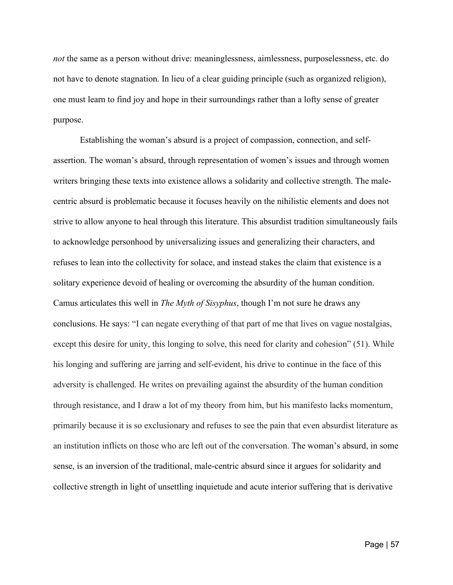*not* the same as a person without drive: meaninglessness, aimlessness, purposelessness, etc. do not have to denote stagnation. In lieu of a clear guiding principle (such as organized religion), one must learn to find joy and hope in their surroundings rather than a lofty sense of greater purpose.

Establishing the woman's absurd is a project of compassion, connection, and selfassertion. The woman's absurd, through representation of women's issues and through women writers bringing these texts into existence allows a solidarity and collective strength. The malecentric absurd is problematic because it focuses heavily on the nihilistic elements and does not strive to allow anyone to heal through this literature. This absurdist tradition simultaneously fails to acknowledge personhood by universalizing issues and generalizing their characters, and refuses to lean into the collectivity for solace, and instead stakes the claim that existence is a solitary experience devoid of healing or overcoming the absurdity of the human condition. Camus articulates this well in *The Myth of Sisyphus*, though I'm not sure he draws any conclusions. He says: "I can negate everything of that part of me that lives on vague nostalgias, except this desire for unity, this longing to solve, this need for clarity and cohesion" (51). While his longing and suffering are jarring and self-evident, his drive to continue in the face of this adversity is challenged. He writes on prevailing against the absurdity of the human condition through resistance, and I draw a lot of my theory from him, but his manifesto lacks momentum, primarily because it is so exclusionary and refuses to see the pain that even absurdist literature as an institution inflicts on those who are left out of the conversation. The woman's absurd, in some sense, is an inversion of the traditional, male-centric absurd since it argues for solidarity and collective strength in light of unsettling inquietude and acute interior suffering that is derivative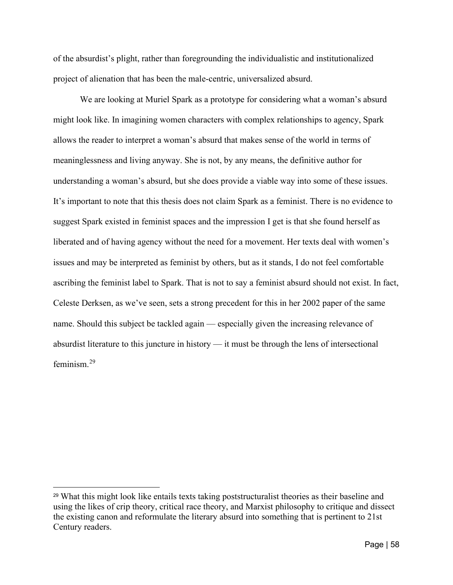of the absurdist's plight, rather than foregrounding the individualistic and institutionalized project of alienation that has been the male-centric, universalized absurd.

We are looking at Muriel Spark as a prototype for considering what a woman's absurd might look like. In imagining women characters with complex relationships to agency, Spark allows the reader to interpret a woman's absurd that makes sense of the world in terms of meaninglessness and living anyway. She is not, by any means, the definitive author for understanding a woman's absurd, but she does provide a viable way into some of these issues. It's important to note that this thesis does not claim Spark as a feminist. There is no evidence to suggest Spark existed in feminist spaces and the impression I get is that she found herself as liberated and of having agency without the need for a movement. Her texts deal with women's issues and may be interpreted as feminist by others, but as it stands, I do not feel comfortable ascribing the feminist label to Spark. That is not to say a feminist absurd should not exist. In fact, Celeste Derksen, as we've seen, sets a strong precedent for this in her 2002 paper of the same name. Should this subject be tackled again — especially given the increasing relevance of absurdist literature to this juncture in history — it must be through the lens of intersectional feminism.[29](#page-62-0)

<span id="page-62-0"></span><sup>29</sup> What this might look like entails texts taking poststructuralist theories as their baseline and using the likes of crip theory, critical race theory, and Marxist philosophy to critique and dissect the existing canon and reformulate the literary absurd into something that is pertinent to 21st Century readers.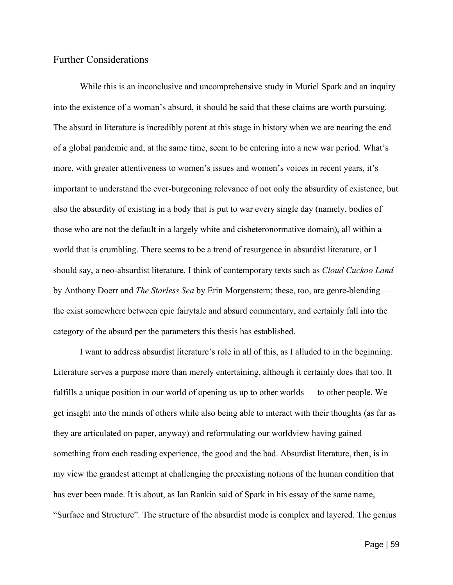### <span id="page-63-0"></span>Further Considerations

While this is an inconclusive and uncomprehensive study in Muriel Spark and an inquiry into the existence of a woman's absurd, it should be said that these claims are worth pursuing. The absurd in literature is incredibly potent at this stage in history when we are nearing the end of a global pandemic and, at the same time, seem to be entering into a new war period. What's more, with greater attentiveness to women's issues and women's voices in recent years, it's important to understand the ever-burgeoning relevance of not only the absurdity of existence, but also the absurdity of existing in a body that is put to war every single day (namely, bodies of those who are not the default in a largely white and cisheteronormative domain), all within a world that is crumbling. There seems to be a trend of resurgence in absurdist literature, or I should say, a neo-absurdist literature. I think of contemporary texts such as *Cloud Cuckoo Land* by Anthony Doerr and *The Starless Sea* by Erin Morgenstern; these, too, are genre-blending the exist somewhere between epic fairytale and absurd commentary, and certainly fall into the category of the absurd per the parameters this thesis has established.

I want to address absurdist literature's role in all of this, as I alluded to in the beginning. Literature serves a purpose more than merely entertaining, although it certainly does that too. It fulfills a unique position in our world of opening us up to other worlds — to other people. We get insight into the minds of others while also being able to interact with their thoughts (as far as they are articulated on paper, anyway) and reformulating our worldview having gained something from each reading experience, the good and the bad. Absurdist literature, then, is in my view the grandest attempt at challenging the preexisting notions of the human condition that has ever been made. It is about, as Ian Rankin said of Spark in his essay of the same name, "Surface and Structure". The structure of the absurdist mode is complex and layered. The genius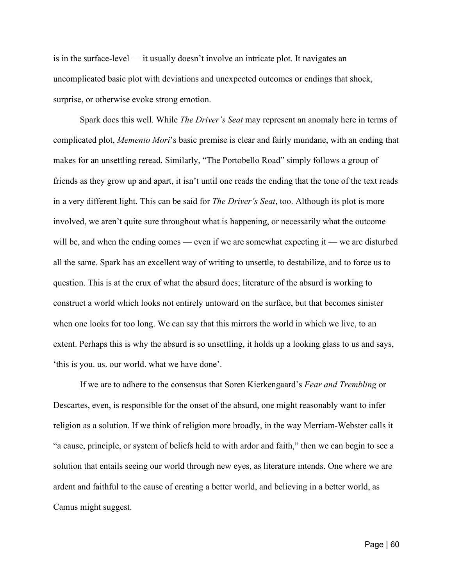is in the surface-level — it usually doesn't involve an intricate plot. It navigates an uncomplicated basic plot with deviations and unexpected outcomes or endings that shock, surprise, or otherwise evoke strong emotion.

Spark does this well. While *The Driver's Seat* may represent an anomaly here in terms of complicated plot, *Memento Mori*'s basic premise is clear and fairly mundane, with an ending that makes for an unsettling reread. Similarly, "The Portobello Road" simply follows a group of friends as they grow up and apart, it isn't until one reads the ending that the tone of the text reads in a very different light. This can be said for *The Driver's Seat*, too. Although its plot is more involved, we aren't quite sure throughout what is happening, or necessarily what the outcome will be, and when the ending comes — even if we are somewhat expecting it — we are disturbed all the same. Spark has an excellent way of writing to unsettle, to destabilize, and to force us to question. This is at the crux of what the absurd does; literature of the absurd is working to construct a world which looks not entirely untoward on the surface, but that becomes sinister when one looks for too long. We can say that this mirrors the world in which we live, to an extent. Perhaps this is why the absurd is so unsettling, it holds up a looking glass to us and says, 'this is you. us. our world. what we have done'.

If we are to adhere to the consensus that Soren Kierkengaard's *Fear and Trembling* or Descartes, even, is responsible for the onset of the absurd, one might reasonably want to infer religion as a solution. If we think of religion more broadly, in the way Merriam-Webster calls it "a cause, principle, or system of beliefs held to with ardor and faith," then we can begin to see a solution that entails seeing our world through new eyes, as literature intends. One where we are ardent and faithful to the cause of creating a better world, and believing in a better world, as Camus might suggest.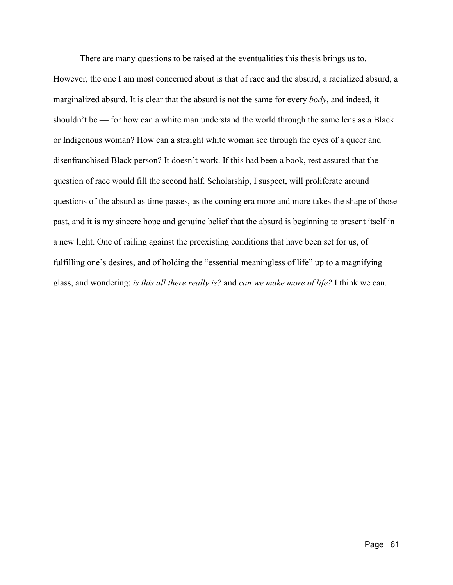There are many questions to be raised at the eventualities this thesis brings us to. However, the one I am most concerned about is that of race and the absurd, a racialized absurd, a marginalized absurd. It is clear that the absurd is not the same for every *body*, and indeed, it shouldn't be — for how can a white man understand the world through the same lens as a Black or Indigenous woman? How can a straight white woman see through the eyes of a queer and disenfranchised Black person? It doesn't work. If this had been a book, rest assured that the question of race would fill the second half. Scholarship, I suspect, will proliferate around questions of the absurd as time passes, as the coming era more and more takes the shape of those past, and it is my sincere hope and genuine belief that the absurd is beginning to present itself in a new light. One of railing against the preexisting conditions that have been set for us, of fulfilling one's desires, and of holding the "essential meaningless of life" up to a magnifying glass, and wondering: *is this all there really is?* and *can we make more of life?* I think we can.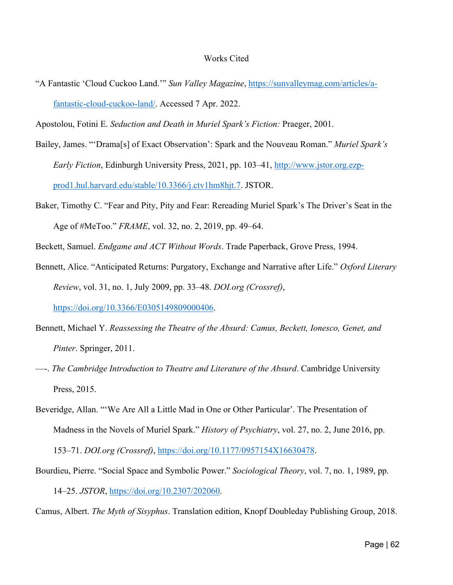"A Fantastic 'Cloud Cuckoo Land.'" *Sun Valley Magazine*, [https://sunvalleymag.com/articles/a](https://sunvalleymag.com/articles/a-fantastic-cloud-cuckoo-land/)[fantastic-cloud-cuckoo-land/.](https://sunvalleymag.com/articles/a-fantastic-cloud-cuckoo-land/) Accessed 7 Apr. 2022.

Apostolou, Fotini E. *Seduction and Death in Muriel Spark's Fiction:* Praeger, 2001.

- Bailey, James. "'Drama[s] of Exact Observation': Spark and the Nouveau Roman." *Muriel Spark's Early Fiction*, Edinburgh University Press, 2021, pp. 103–41, [http://www.jstor.org.ezp](http://www.jstor.org.ezp-prod1.hul.harvard.edu/stable/10.3366/j.ctv1hm8hjt.7)[prod1.hul.harvard.edu/stable/10.3366/j.ctv1hm8hjt.7.](http://www.jstor.org.ezp-prod1.hul.harvard.edu/stable/10.3366/j.ctv1hm8hjt.7) JSTOR.
- Baker, Timothy C. "Fear and Pity, Pity and Fear: Rereading Muriel Spark's The Driver's Seat in the Age of #MeToo." *FRAME*, vol. 32, no. 2, 2019, pp. 49–64.

Beckett, Samuel. *Endgame and ACT Without Words*. Trade Paperback, Grove Press, 1994.

- Bennett, Alice. "Anticipated Returns: Purgatory, Exchange and Narrative after Life." *Oxford Literary Review*, vol. 31, no. 1, July 2009, pp. 33–48. *DOI.org (Crossref)*, [https://doi.org/10.3366/E0305149809000406.](https://doi.org/10.3366/E0305149809000406)
- Bennett, Michael Y. *Reassessing the Theatre of the Absurd: Camus, Beckett, Ionesco, Genet, and Pinter*. Springer, 2011.
- —-. *The Cambridge Introduction to Theatre and Literature of the Absurd*. Cambridge University Press, 2015.
- Beveridge, Allan. "'We Are All a Little Mad in One or Other Particular'. The Presentation of Madness in the Novels of Muriel Spark." *History of Psychiatry*, vol. 27, no. 2, June 2016, pp.

153–71. *DOI.org (Crossref)*, [https://doi.org/10.1177/0957154X16630478.](https://doi.org/10.1177/0957154X16630478)

Bourdieu, Pierre. "Social Space and Symbolic Power." *Sociological Theory*, vol. 7, no. 1, 1989, pp. 14–25. *JSTOR*, [https://doi.org/10.2307/202060.](https://doi.org/10.2307/202060)

Camus, Albert. *The Myth of Sisyphus*. Translation edition, Knopf Doubleday Publishing Group, 2018.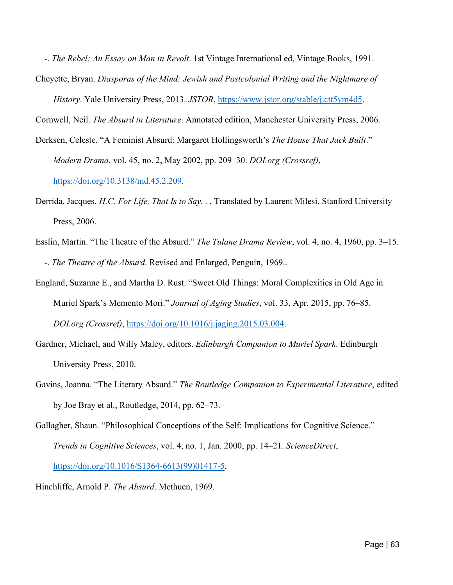—-. *The Rebel: An Essay on Man in Revolt*. 1st Vintage International ed, Vintage Books, 1991.

Cheyette, Bryan. *Diasporas of the Mind: Jewish and Postcolonial Writing and the Nightmare of* 

*History*. Yale University Press, 2013. *JSTOR*, [https://www.jstor.org/stable/j.ctt5vm4d5.](https://www.jstor.org/stable/j.ctt5vm4d5)

Cornwell, Neil. *The Absurd in Literature*. Annotated edition, Manchester University Press, 2006.

- Derksen, Celeste. "A Feminist Absurd: Margaret Hollingsworth's *The House That Jack Built*." *Modern Drama*, vol. 45, no. 2, May 2002, pp. 209–30. *DOI.org (Crossref)*, [https://doi.org/10.3138/md.45.2.209.](https://doi.org/10.3138/md.45.2.209)
- Derrida, Jacques. *H.C. For Life, That Is to Say. . .* Translated by Laurent Milesi, Stanford University Press, 2006.
- Esslin, Martin. "The Theatre of the Absurd." *The Tulane Drama Review*, vol. 4, no. 4, 1960, pp. 3–15. —-. *The Theatre of the Absurd*. Revised and Enlarged, Penguin, 1969..
- England, Suzanne E., and Martha D. Rust. "Sweet Old Things: Moral Complexities in Old Age in Muriel Spark's Memento Mori." *Journal of Aging Studies*, vol. 33, Apr. 2015, pp. 76–85. *DOI.org (Crossref)*, [https://doi.org/10.1016/j.jaging.2015.03.004.](https://doi.org/10.1016/j.jaging.2015.03.004)
- Gardner, Michael, and Willy Maley, editors. *Edinburgh Companion to Muriel Spark*. Edinburgh University Press, 2010.
- Gavins, Joanna. "The Literary Absurd." *The Routledge Companion to Experimental Literature*, edited by Joe Bray et al., Routledge, 2014, pp. 62–73.
- Gallagher, Shaun. "Philosophical Conceptions of the Self: Implications for Cognitive Science." *Trends in Cognitive Sciences*, vol. 4, no. 1, Jan. 2000, pp. 14–21. *ScienceDirect*, [https://doi.org/10.1016/S1364-6613\(99\)01417-5.](https://doi.org/10.1016/S1364-6613(99)01417-5)

Hinchliffe, Arnold P. *The Absurd*. Methuen, 1969.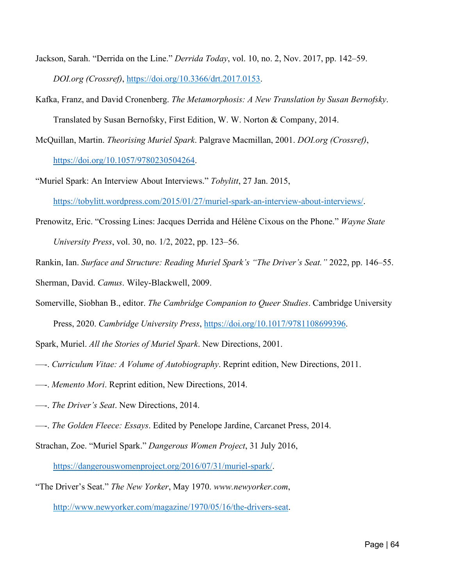- Jackson, Sarah. "Derrida on the Line." *Derrida Today*, vol. 10, no. 2, Nov. 2017, pp. 142–59. *DOI.org (Crossref)*, [https://doi.org/10.3366/drt.2017.0153.](https://doi.org/10.3366/drt.2017.0153)
- Kafka, Franz, and David Cronenberg. *The Metamorphosis: A New Translation by Susan Bernofsky*.

Translated by Susan Bernofsky, First Edition, W. W. Norton & Company, 2014.

- McQuillan, Martin. *Theorising Muriel Spark*. Palgrave Macmillan, 2001. *DOI.org (Crossref)*, [https://doi.org/10.1057/9780230504264.](https://doi.org/10.1057/9780230504264)
- "Muriel Spark: An Interview About Interviews." *Tobylitt*, 27 Jan. 2015, [https://tobylitt.wordpress.com/2015/01/27/muriel-spark-an-interview-about-interviews/.](https://tobylitt.wordpress.com/2015/01/27/muriel-spark-an-interview-about-interviews/)
- Prenowitz, Eric. "Crossing Lines: Jacques Derrida and Hélène Cixous on the Phone." *Wayne State University Press*, vol. 30, no. 1/2, 2022, pp. 123–56.
- Rankin, Ian. *Surface and Structure: Reading Muriel Spark's "The Driver's Seat."* 2022, pp. 146–55. Sherman, David. *Camus*. Wiley-Blackwell, 2009.
- Somerville, Siobhan B., editor. *The Cambridge Companion to Queer Studies*. Cambridge University Press, 2020. *Cambridge University Press*, [https://doi.org/10.1017/9781108699396.](https://doi.org/10.1017/9781108699396)

Spark, Muriel. *All the Stories of Muriel Spark*. New Directions, 2001.

- —-. *Curriculum Vitae: A Volume of Autobiography*. Reprint edition, New Directions, 2011.
- —-. *Memento Mori*. Reprint edition, New Directions, 2014.
- —-. *The Driver's Seat*. New Directions, 2014.
- —-. *The Golden Fleece: Essays*. Edited by Penelope Jardine, Carcanet Press, 2014.
- Strachan, Zoe. "Muriel Spark." *Dangerous Women Project*, 31 July 2016,

[https://dangerouswomenproject.org/2016/07/31/muriel-spark/.](https://dangerouswomenproject.org/2016/07/31/muriel-spark/)

"The Driver's Seat." *The New Yorker*, May 1970. *www.newyorker.com*,

[http://www.newyorker.com/magazine/1970/05/16/the-drivers-seat.](http://www.newyorker.com/magazine/1970/05/16/the-drivers-seat)